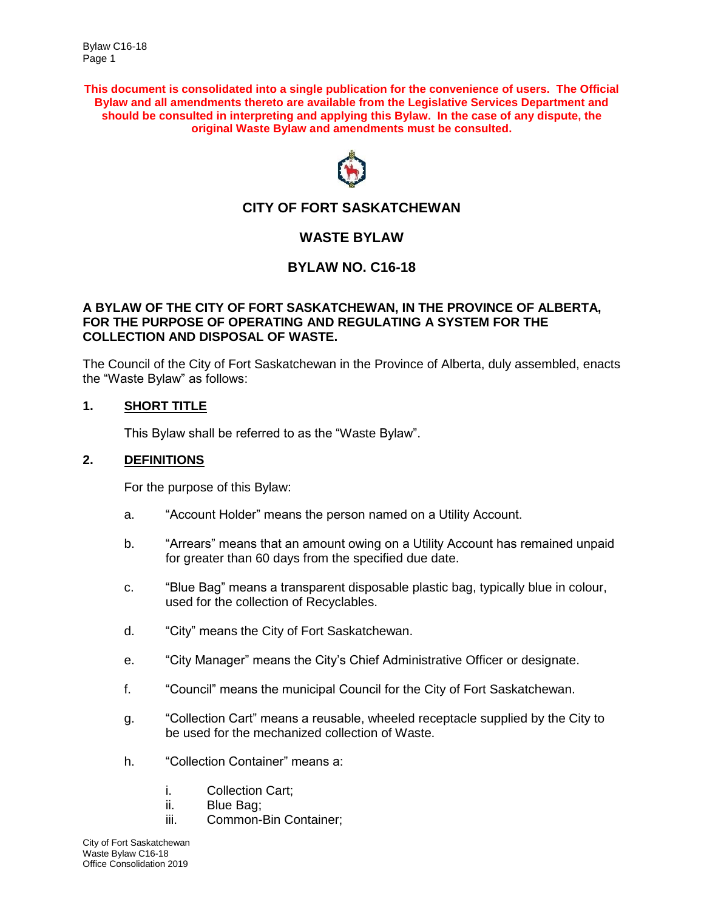**This document is consolidated into a single publication for the convenience of users. The Official Bylaw and all amendments thereto are available from the Legislative Services Department and should be consulted in interpreting and applying this Bylaw. In the case of any dispute, the original Waste Bylaw and amendments must be consulted.**



# **CITY OF FORT SASKATCHEWAN**

## **WASTE BYLAW**

## **BYLAW NO. C16-18**

#### **A BYLAW OF THE CITY OF FORT SASKATCHEWAN, IN THE PROVINCE OF ALBERTA, FOR THE PURPOSE OF OPERATING AND REGULATING A SYSTEM FOR THE COLLECTION AND DISPOSAL OF WASTE.**

The Council of the City of Fort Saskatchewan in the Province of Alberta, duly assembled, enacts the "Waste Bylaw" as follows:

### **1. SHORT TITLE**

This Bylaw shall be referred to as the "Waste Bylaw".

#### **2. DEFINITIONS**

For the purpose of this Bylaw:

- a. "Account Holder" means the person named on a Utility Account.
- b. "Arrears" means that an amount owing on a Utility Account has remained unpaid for greater than 60 days from the specified due date.
- c. "Blue Bag" means a transparent disposable plastic bag, typically blue in colour, used for the collection of Recyclables.
- d. "City" means the City of Fort Saskatchewan.
- e. "City Manager" means the City's Chief Administrative Officer or designate.
- f. "Council" means the municipal Council for the City of Fort Saskatchewan.
- g. "Collection Cart" means a reusable, wheeled receptacle supplied by the City to be used for the mechanized collection of Waste.
- h. "Collection Container" means a:
	- i. Collection Cart;
	- ii. Blue Bag;
	- iii. Common-Bin Container;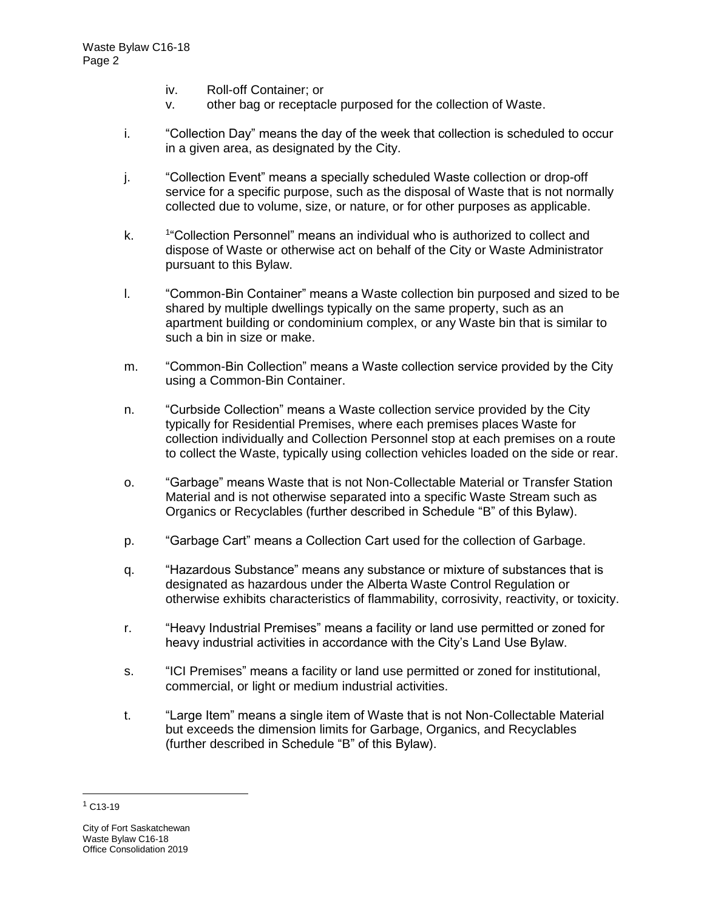- iv. Roll-off Container; or
- v. other bag or receptacle purposed for the collection of Waste.
- i. "Collection Day" means the day of the week that collection is scheduled to occur in a given area, as designated by the City.
- j. "Collection Event" means a specially scheduled Waste collection or drop-off service for a specific purpose, such as the disposal of Waste that is not normally collected due to volume, size, or nature, or for other purposes as applicable.
- $k<sub>1</sub>$ <sup>1</sup>"Collection Personnel" means an individual who is authorized to collect and dispose of Waste or otherwise act on behalf of the City or Waste Administrator pursuant to this Bylaw.
- l. "Common-Bin Container" means a Waste collection bin purposed and sized to be shared by multiple dwellings typically on the same property, such as an apartment building or condominium complex, or any Waste bin that is similar to such a bin in size or make.
- m. "Common-Bin Collection" means a Waste collection service provided by the City using a Common-Bin Container.
- n. "Curbside Collection" means a Waste collection service provided by the City typically for Residential Premises, where each premises places Waste for collection individually and Collection Personnel stop at each premises on a route to collect the Waste, typically using collection vehicles loaded on the side or rear.
- o. "Garbage" means Waste that is not Non-Collectable Material or Transfer Station Material and is not otherwise separated into a specific Waste Stream such as Organics or Recyclables (further described in Schedule "B" of this Bylaw).
- p. "Garbage Cart" means a Collection Cart used for the collection of Garbage.
- q. "Hazardous Substance" means any substance or mixture of substances that is designated as hazardous under the Alberta Waste Control Regulation or otherwise exhibits characteristics of flammability, corrosivity, reactivity, or toxicity.
- r. "Heavy Industrial Premises" means a facility or land use permitted or zoned for heavy industrial activities in accordance with the City's Land Use Bylaw.
- s. "ICI Premises" means a facility or land use permitted or zoned for institutional, commercial, or light or medium industrial activities.
- t. "Large Item" means a single item of Waste that is not Non-Collectable Material but exceeds the dimension limits for Garbage, Organics, and Recyclables (further described in Schedule "B" of this Bylaw).

 $1$  C13-19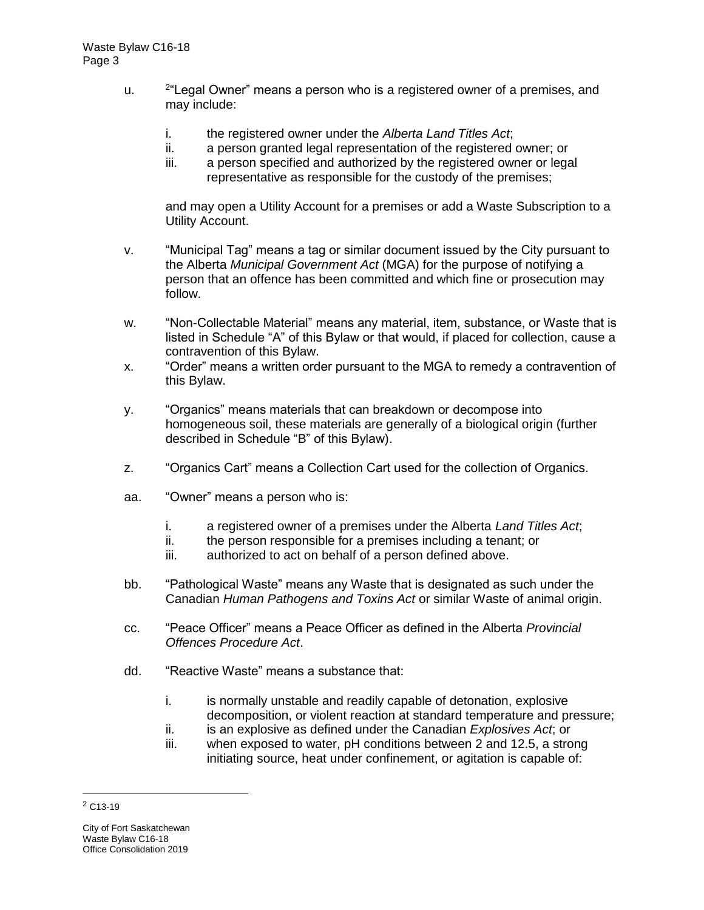- u.  $2^{\omega}$ Legal Owner" means a person who is a registered owner of a premises, and may include:
	- i. the registered owner under the *Alberta Land Titles Act*;
	- ii. a person granted legal representation of the registered owner; or
	- iii. a person specified and authorized by the registered owner or legal representative as responsible for the custody of the premises;

and may open a Utility Account for a premises or add a Waste Subscription to a Utility Account.

- v. "Municipal Tag" means a tag or similar document issued by the City pursuant to the Alberta *Municipal Government Act* (MGA) for the purpose of notifying a person that an offence has been committed and which fine or prosecution may follow.
- w. "Non-Collectable Material" means any material, item, substance, or Waste that is listed in Schedule "A" of this Bylaw or that would, if placed for collection, cause a contravention of this Bylaw.
- x. "Order" means a written order pursuant to the MGA to remedy a contravention of this Bylaw.
- y. "Organics" means materials that can breakdown or decompose into homogeneous soil, these materials are generally of a biological origin (further described in Schedule "B" of this Bylaw).
- z. "Organics Cart" means a Collection Cart used for the collection of Organics.
- aa. "Owner" means a person who is:
	- i. a registered owner of a premises under the Alberta *Land Titles Act*;
	- ii. the person responsible for a premises including a tenant; or
	- iii. authorized to act on behalf of a person defined above.
- bb. "Pathological Waste" means any Waste that is designated as such under the Canadian *Human Pathogens and Toxins Act* or similar Waste of animal origin.
- cc. "Peace Officer" means a Peace Officer as defined in the Alberta *Provincial Offences Procedure Act*.
- dd. "Reactive Waste" means a substance that:
	- i. is normally unstable and readily capable of detonation, explosive decomposition, or violent reaction at standard temperature and pressure;
	- ii. is an explosive as defined under the Canadian *Explosives Act*; or
	- iii. when exposed to water, pH conditions between 2 and 12.5, a strong initiating source, heat under confinement, or agitation is capable of:

 $2$  C<sub>13-19</sub>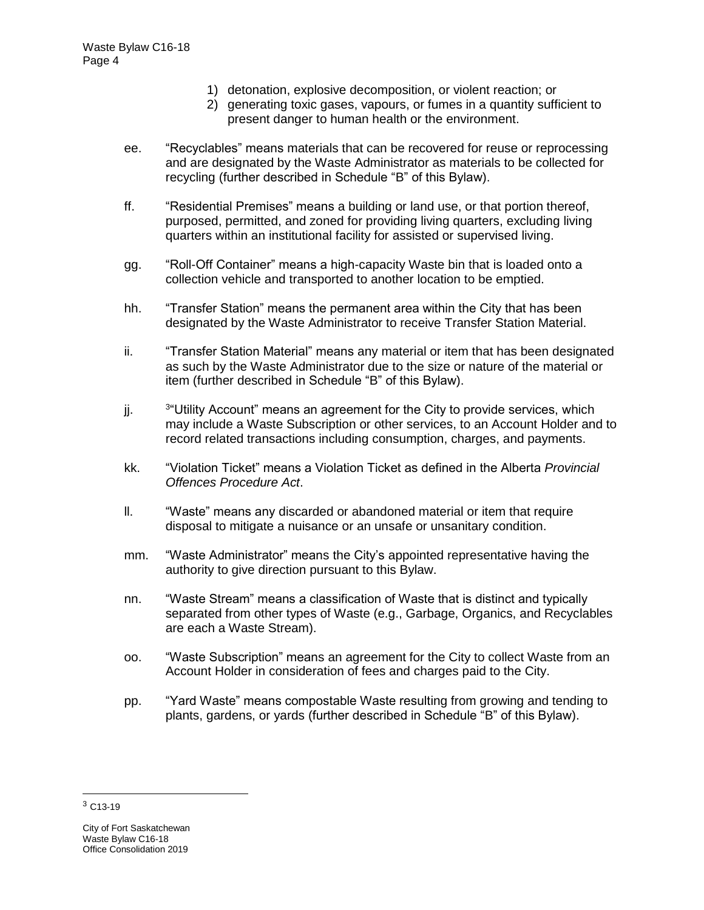- 1) detonation, explosive decomposition, or violent reaction; or
- 2) generating toxic gases, vapours, or fumes in a quantity sufficient to present danger to human health or the environment.
- ee. "Recyclables" means materials that can be recovered for reuse or reprocessing and are designated by the Waste Administrator as materials to be collected for recycling (further described in Schedule "B" of this Bylaw).
- ff. "Residential Premises" means a building or land use, or that portion thereof, purposed, permitted, and zoned for providing living quarters, excluding living quarters within an institutional facility for assisted or supervised living.
- gg. "Roll-Off Container" means a high-capacity Waste bin that is loaded onto a collection vehicle and transported to another location to be emptied.
- hh. "Transfer Station" means the permanent area within the City that has been designated by the Waste Administrator to receive Transfer Station Material.
- ii. "Transfer Station Material" means any material or item that has been designated as such by the Waste Administrator due to the size or nature of the material or item (further described in Schedule "B" of this Bylaw).
- jj. <sup>3</sup> <sup>3</sup> Utility Account" means an agreement for the City to provide services, which may include a Waste Subscription or other services, to an Account Holder and to record related transactions including consumption, charges, and payments.
- kk. "Violation Ticket" means a Violation Ticket as defined in the Alberta *Provincial Offences Procedure Act*.
- ll. "Waste" means any discarded or abandoned material or item that require disposal to mitigate a nuisance or an unsafe or unsanitary condition.
- mm. "Waste Administrator" means the City's appointed representative having the authority to give direction pursuant to this Bylaw.
- nn. "Waste Stream" means a classification of Waste that is distinct and typically separated from other types of Waste (e.g., Garbage, Organics, and Recyclables are each a Waste Stream).
- oo. "Waste Subscription" means an agreement for the City to collect Waste from an Account Holder in consideration of fees and charges paid to the City.
- pp. "Yard Waste" means compostable Waste resulting from growing and tending to plants, gardens, or yards (further described in Schedule "B" of this Bylaw).

 $3$  C<sub>13</sub>-19

City of Fort Saskatchewan Waste Bylaw C16-18 Office Consolidation 2019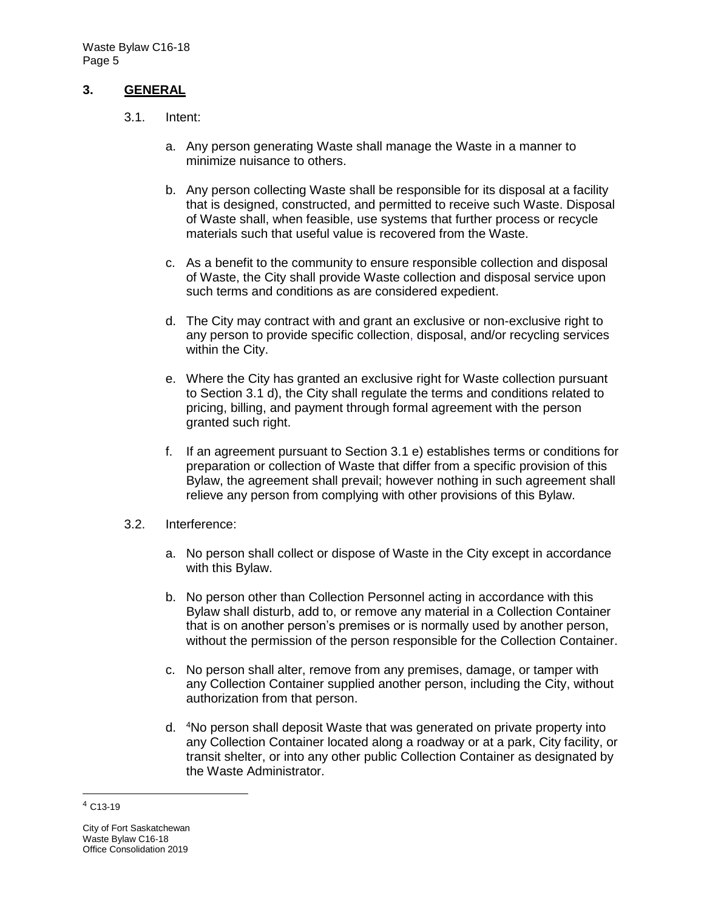#### **3. GENERAL**

- 3.1. Intent:
	- a. Any person generating Waste shall manage the Waste in a manner to minimize nuisance to others.
	- b. Any person collecting Waste shall be responsible for its disposal at a facility that is designed, constructed, and permitted to receive such Waste. Disposal of Waste shall, when feasible, use systems that further process or recycle materials such that useful value is recovered from the Waste.
	- c. As a benefit to the community to ensure responsible collection and disposal of Waste, the City shall provide Waste collection and disposal service upon such terms and conditions as are considered expedient.
	- d. The City may contract with and grant an exclusive or non-exclusive right to any person to provide specific collection, disposal, and/or recycling services within the City.
	- e. Where the City has granted an exclusive right for Waste collection pursuant to Section 3.1 d), the City shall regulate the terms and conditions related to pricing, billing, and payment through formal agreement with the person granted such right.
	- f. If an agreement pursuant to Section 3.1 e) establishes terms or conditions for preparation or collection of Waste that differ from a specific provision of this Bylaw, the agreement shall prevail; however nothing in such agreement shall relieve any person from complying with other provisions of this Bylaw.
- 3.2. Interference:
	- a. No person shall collect or dispose of Waste in the City except in accordance with this Bylaw.
	- b. No person other than Collection Personnel acting in accordance with this Bylaw shall disturb, add to, or remove any material in a Collection Container that is on another person's premises or is normally used by another person, without the permission of the person responsible for the Collection Container.
	- c. No person shall alter, remove from any premises, damage, or tamper with any Collection Container supplied another person, including the City, without authorization from that person.
	- d. <sup>4</sup>No person shall deposit Waste that was generated on private property into any Collection Container located along a roadway or at a park, City facility, or transit shelter, or into any other public Collection Container as designated by the Waste Administrator.

<sup>4</sup> C13-19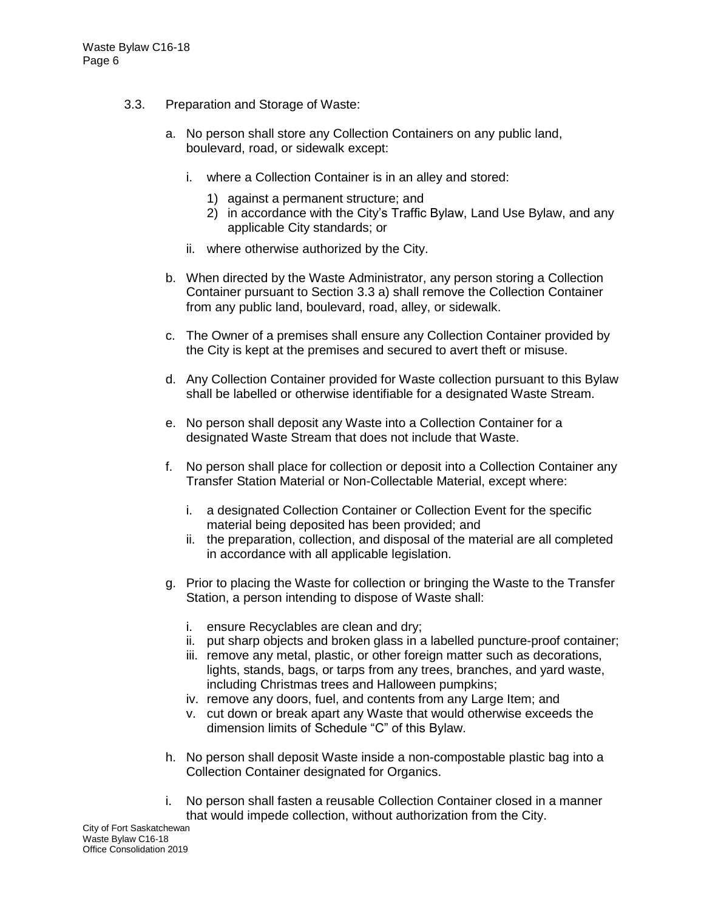- 3.3. Preparation and Storage of Waste:
	- a. No person shall store any Collection Containers on any public land, boulevard, road, or sidewalk except:
		- i. where a Collection Container is in an alley and stored:
			- 1) against a permanent structure; and
			- 2) in accordance with the City's Traffic Bylaw, Land Use Bylaw, and any applicable City standards; or
		- ii. where otherwise authorized by the City.
	- b. When directed by the Waste Administrator, any person storing a Collection Container pursuant to Section 3.3 a) shall remove the Collection Container from any public land, boulevard, road, alley, or sidewalk.
	- c. The Owner of a premises shall ensure any Collection Container provided by the City is kept at the premises and secured to avert theft or misuse.
	- d. Any Collection Container provided for Waste collection pursuant to this Bylaw shall be labelled or otherwise identifiable for a designated Waste Stream.
	- e. No person shall deposit any Waste into a Collection Container for a designated Waste Stream that does not include that Waste.
	- f. No person shall place for collection or deposit into a Collection Container any Transfer Station Material or Non-Collectable Material, except where:
		- i. a designated Collection Container or Collection Event for the specific material being deposited has been provided; and
		- ii. the preparation, collection, and disposal of the material are all completed in accordance with all applicable legislation.
	- g. Prior to placing the Waste for collection or bringing the Waste to the Transfer Station, a person intending to dispose of Waste shall:
		- i. ensure Recyclables are clean and dry;
		- ii. put sharp objects and broken glass in a labelled puncture-proof container;
		- iii. remove any metal, plastic, or other foreign matter such as decorations, lights, stands, bags, or tarps from any trees, branches, and yard waste, including Christmas trees and Halloween pumpkins;
		- iv. remove any doors, fuel, and contents from any Large Item; and
		- v. cut down or break apart any Waste that would otherwise exceeds the dimension limits of Schedule "C" of this Bylaw.
	- h. No person shall deposit Waste inside a non-compostable plastic bag into a Collection Container designated for Organics.
	- i. No person shall fasten a reusable Collection Container closed in a manner that would impede collection, without authorization from the City.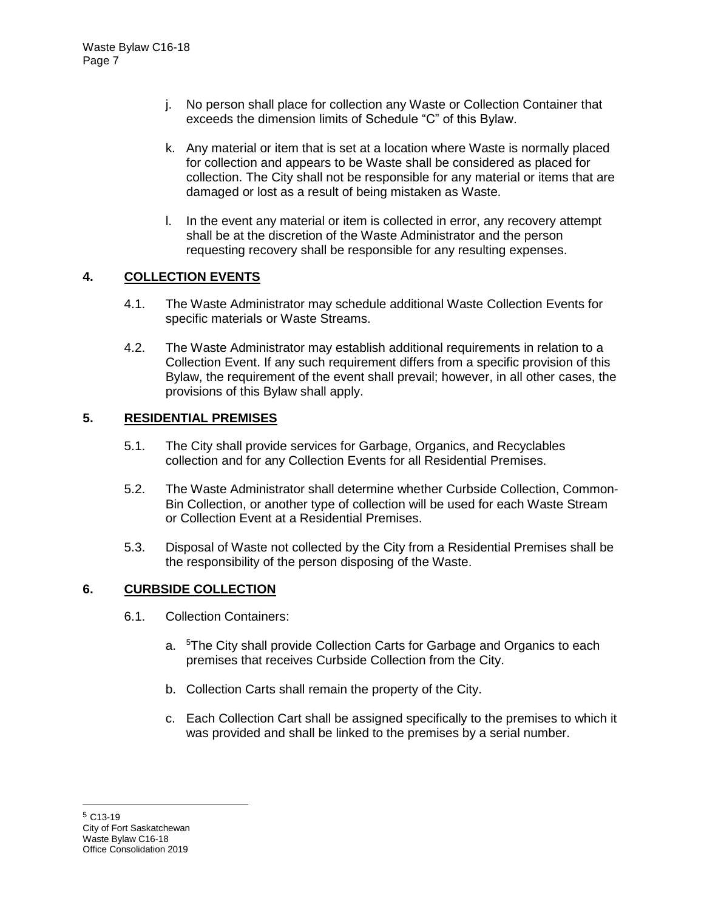- j. No person shall place for collection any Waste or Collection Container that exceeds the dimension limits of Schedule "C" of this Bylaw.
- k. Any material or item that is set at a location where Waste is normally placed for collection and appears to be Waste shall be considered as placed for collection. The City shall not be responsible for any material or items that are damaged or lost as a result of being mistaken as Waste.
- l. In the event any material or item is collected in error, any recovery attempt shall be at the discretion of the Waste Administrator and the person requesting recovery shall be responsible for any resulting expenses.

## **4. COLLECTION EVENTS**

- 4.1. The Waste Administrator may schedule additional Waste Collection Events for specific materials or Waste Streams.
- 4.2. The Waste Administrator may establish additional requirements in relation to a Collection Event. If any such requirement differs from a specific provision of this Bylaw, the requirement of the event shall prevail; however, in all other cases, the provisions of this Bylaw shall apply.

### **5. RESIDENTIAL PREMISES**

- 5.1. The City shall provide services for Garbage, Organics, and Recyclables collection and for any Collection Events for all Residential Premises.
- 5.2. The Waste Administrator shall determine whether Curbside Collection, Common-Bin Collection, or another type of collection will be used for each Waste Stream or Collection Event at a Residential Premises.
- 5.3. Disposal of Waste not collected by the City from a Residential Premises shall be the responsibility of the person disposing of the Waste.

### **6. CURBSIDE COLLECTION**

- 6.1. Collection Containers:
	- a. <sup>5</sup>The City shall provide Collection Carts for Garbage and Organics to each premises that receives Curbside Collection from the City.
	- b. Collection Carts shall remain the property of the City.
	- c. Each Collection Cart shall be assigned specifically to the premises to which it was provided and shall be linked to the premises by a serial number.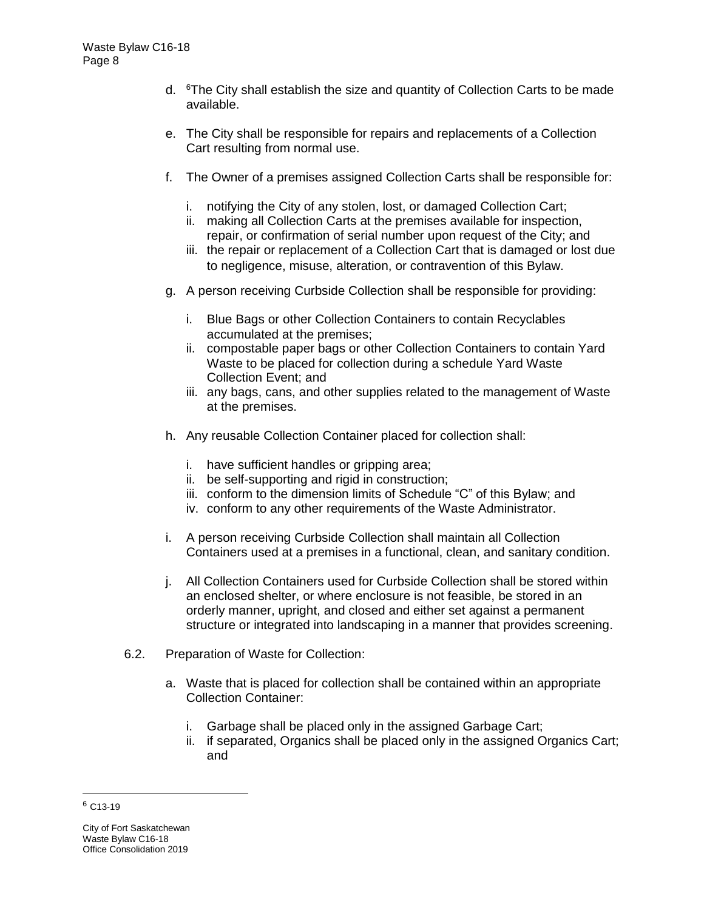- d. <sup>6</sup>The City shall establish the size and quantity of Collection Carts to be made available.
- e. The City shall be responsible for repairs and replacements of a Collection Cart resulting from normal use.
- f. The Owner of a premises assigned Collection Carts shall be responsible for:
	- i. notifying the City of any stolen, lost, or damaged Collection Cart;
	- ii. making all Collection Carts at the premises available for inspection, repair, or confirmation of serial number upon request of the City; and
	- iii. the repair or replacement of a Collection Cart that is damaged or lost due to negligence, misuse, alteration, or contravention of this Bylaw.
- g. A person receiving Curbside Collection shall be responsible for providing:
	- i. Blue Bags or other Collection Containers to contain Recyclables accumulated at the premises;
	- ii. compostable paper bags or other Collection Containers to contain Yard Waste to be placed for collection during a schedule Yard Waste Collection Event; and
	- iii. any bags, cans, and other supplies related to the management of Waste at the premises.
- h. Any reusable Collection Container placed for collection shall:
	- i. have sufficient handles or gripping area;
	- ii. be self-supporting and rigid in construction;
	- iii. conform to the dimension limits of Schedule "C" of this Bylaw; and
	- iv. conform to any other requirements of the Waste Administrator.
- i. A person receiving Curbside Collection shall maintain all Collection Containers used at a premises in a functional, clean, and sanitary condition.
- j. All Collection Containers used for Curbside Collection shall be stored within an enclosed shelter, or where enclosure is not feasible, be stored in an orderly manner, upright, and closed and either set against a permanent structure or integrated into landscaping in a manner that provides screening.
- 6.2. Preparation of Waste for Collection:
	- a. Waste that is placed for collection shall be contained within an appropriate Collection Container:
		- i. Garbage shall be placed only in the assigned Garbage Cart;
		- ii. if separated, Organics shall be placed only in the assigned Organics Cart; and

 $6$  C<sub>13</sub>-19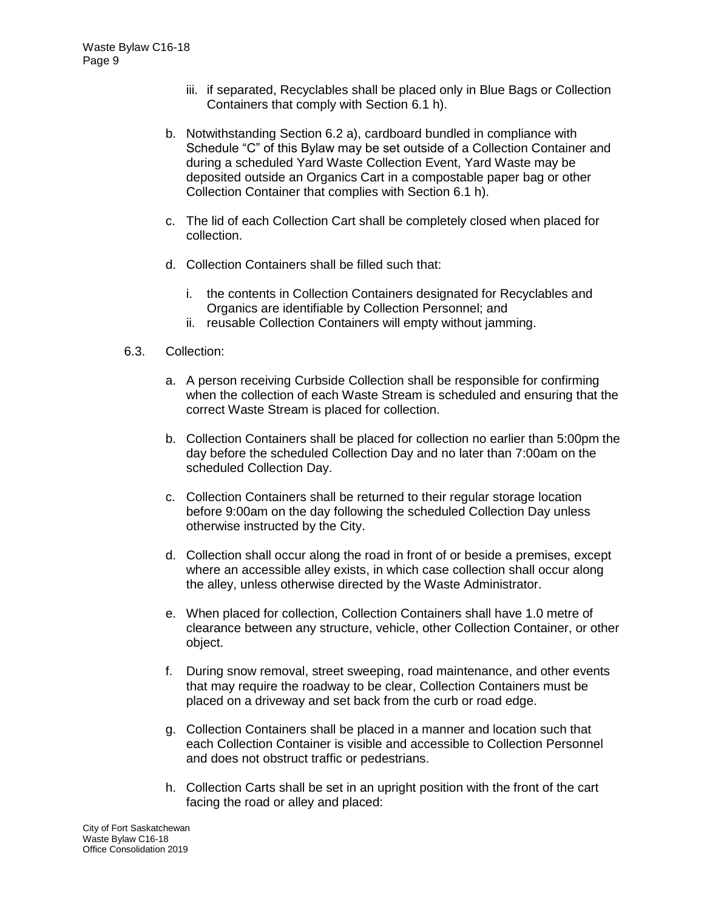- iii. if separated, Recyclables shall be placed only in Blue Bags or Collection Containers that comply with Section 6.1 h).
- b. Notwithstanding Section 6.2 a), cardboard bundled in compliance with Schedule "C" of this Bylaw may be set outside of a Collection Container and during a scheduled Yard Waste Collection Event, Yard Waste may be deposited outside an Organics Cart in a compostable paper bag or other Collection Container that complies with Section 6.1 h).
- c. The lid of each Collection Cart shall be completely closed when placed for collection.
- d. Collection Containers shall be filled such that:
	- i. the contents in Collection Containers designated for Recyclables and Organics are identifiable by Collection Personnel; and
	- ii. reusable Collection Containers will empty without jamming.
- 6.3. Collection:
	- a. A person receiving Curbside Collection shall be responsible for confirming when the collection of each Waste Stream is scheduled and ensuring that the correct Waste Stream is placed for collection.
	- b. Collection Containers shall be placed for collection no earlier than 5:00pm the day before the scheduled Collection Day and no later than 7:00am on the scheduled Collection Day.
	- c. Collection Containers shall be returned to their regular storage location before 9:00am on the day following the scheduled Collection Day unless otherwise instructed by the City.
	- d. Collection shall occur along the road in front of or beside a premises, except where an accessible alley exists, in which case collection shall occur along the alley, unless otherwise directed by the Waste Administrator.
	- e. When placed for collection, Collection Containers shall have 1.0 metre of clearance between any structure, vehicle, other Collection Container, or other object.
	- f. During snow removal, street sweeping, road maintenance, and other events that may require the roadway to be clear, Collection Containers must be placed on a driveway and set back from the curb or road edge.
	- g. Collection Containers shall be placed in a manner and location such that each Collection Container is visible and accessible to Collection Personnel and does not obstruct traffic or pedestrians.
	- h. Collection Carts shall be set in an upright position with the front of the cart facing the road or alley and placed: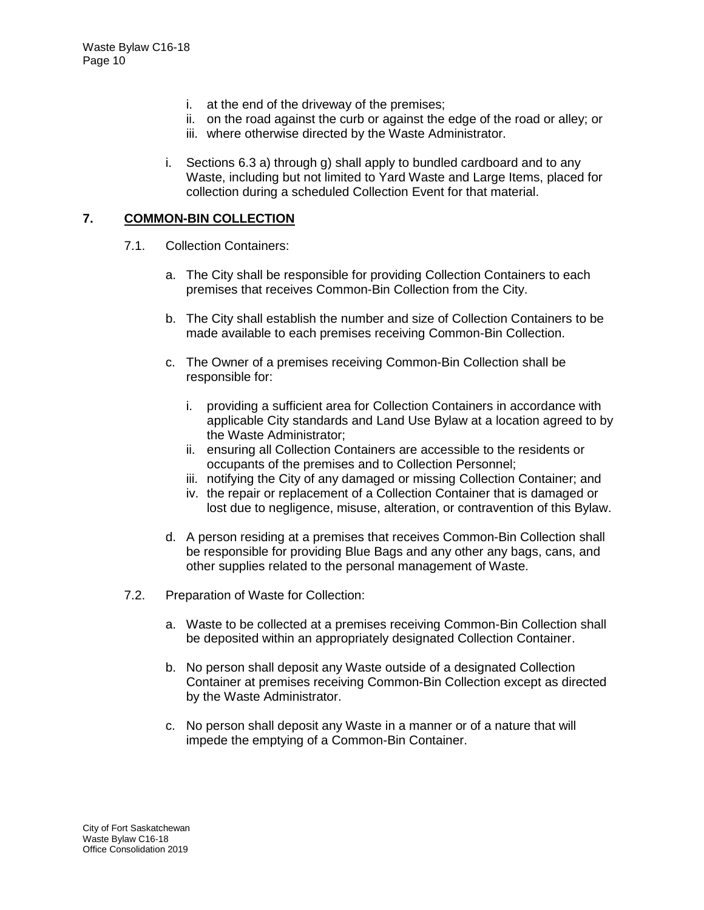- i. at the end of the driveway of the premises;
- ii. on the road against the curb or against the edge of the road or alley; or
- iii. where otherwise directed by the Waste Administrator.
- i. Sections 6.3 a) through g) shall apply to bundled cardboard and to any Waste, including but not limited to Yard Waste and Large Items, placed for collection during a scheduled Collection Event for that material.

### **7. COMMON-BIN COLLECTION**

- 7.1. Collection Containers:
	- a. The City shall be responsible for providing Collection Containers to each premises that receives Common-Bin Collection from the City.
	- b. The City shall establish the number and size of Collection Containers to be made available to each premises receiving Common-Bin Collection.
	- c. The Owner of a premises receiving Common-Bin Collection shall be responsible for:
		- i. providing a sufficient area for Collection Containers in accordance with applicable City standards and Land Use Bylaw at a location agreed to by the Waste Administrator;
		- ii. ensuring all Collection Containers are accessible to the residents or occupants of the premises and to Collection Personnel;
		- iii. notifying the City of any damaged or missing Collection Container; and
		- iv. the repair or replacement of a Collection Container that is damaged or lost due to negligence, misuse, alteration, or contravention of this Bylaw.
	- d. A person residing at a premises that receives Common-Bin Collection shall be responsible for providing Blue Bags and any other any bags, cans, and other supplies related to the personal management of Waste.
- 7.2. Preparation of Waste for Collection:
	- a. Waste to be collected at a premises receiving Common-Bin Collection shall be deposited within an appropriately designated Collection Container.
	- b. No person shall deposit any Waste outside of a designated Collection Container at premises receiving Common-Bin Collection except as directed by the Waste Administrator.
	- c. No person shall deposit any Waste in a manner or of a nature that will impede the emptying of a Common-Bin Container.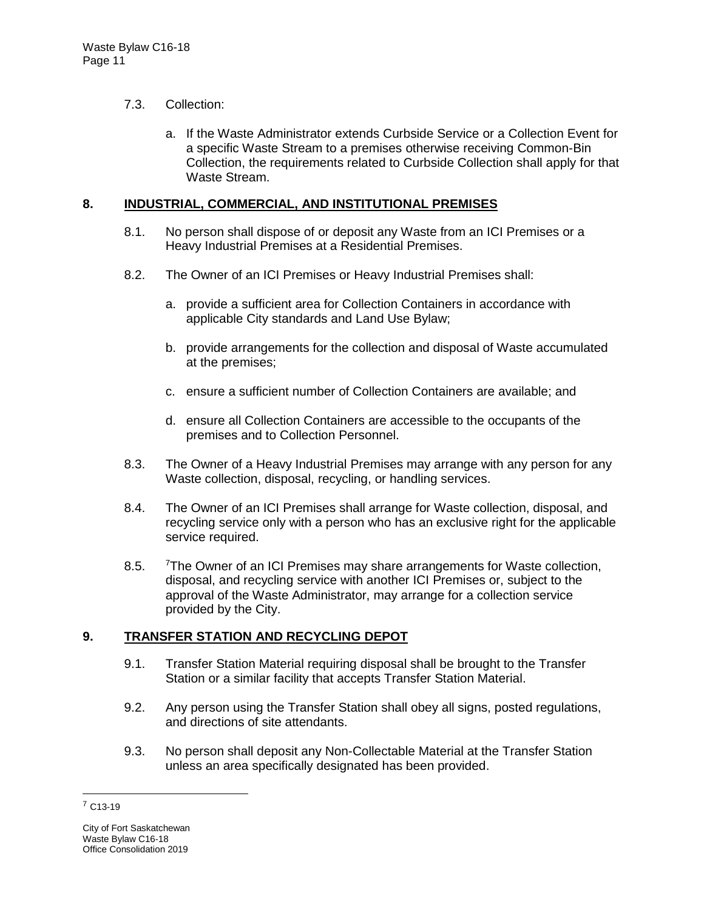### 7.3. Collection:

a. If the Waste Administrator extends Curbside Service or a Collection Event for a specific Waste Stream to a premises otherwise receiving Common-Bin Collection, the requirements related to Curbside Collection shall apply for that Waste Stream.

### **8. INDUSTRIAL, COMMERCIAL, AND INSTITUTIONAL PREMISES**

- 8.1. No person shall dispose of or deposit any Waste from an ICI Premises or a Heavy Industrial Premises at a Residential Premises.
- 8.2. The Owner of an ICI Premises or Heavy Industrial Premises shall:
	- a. provide a sufficient area for Collection Containers in accordance with applicable City standards and Land Use Bylaw;
	- b. provide arrangements for the collection and disposal of Waste accumulated at the premises;
	- c. ensure a sufficient number of Collection Containers are available; and
	- d. ensure all Collection Containers are accessible to the occupants of the premises and to Collection Personnel.
- 8.3. The Owner of a Heavy Industrial Premises may arrange with any person for any Waste collection, disposal, recycling, or handling services.
- 8.4. The Owner of an ICI Premises shall arrange for Waste collection, disposal, and recycling service only with a person who has an exclusive right for the applicable service required.
- 8.5. <sup>7</sup>The Owner of an ICI Premises may share arrangements for Waste collection, disposal, and recycling service with another ICI Premises or, subject to the approval of the Waste Administrator, may arrange for a collection service provided by the City.

### **9. TRANSFER STATION AND RECYCLING DEPOT**

- 9.1. Transfer Station Material requiring disposal shall be brought to the Transfer Station or a similar facility that accepts Transfer Station Material.
- 9.2. Any person using the Transfer Station shall obey all signs, posted regulations, and directions of site attendants.
- 9.3. No person shall deposit any Non-Collectable Material at the Transfer Station unless an area specifically designated has been provided.

<sup>7</sup> C13-19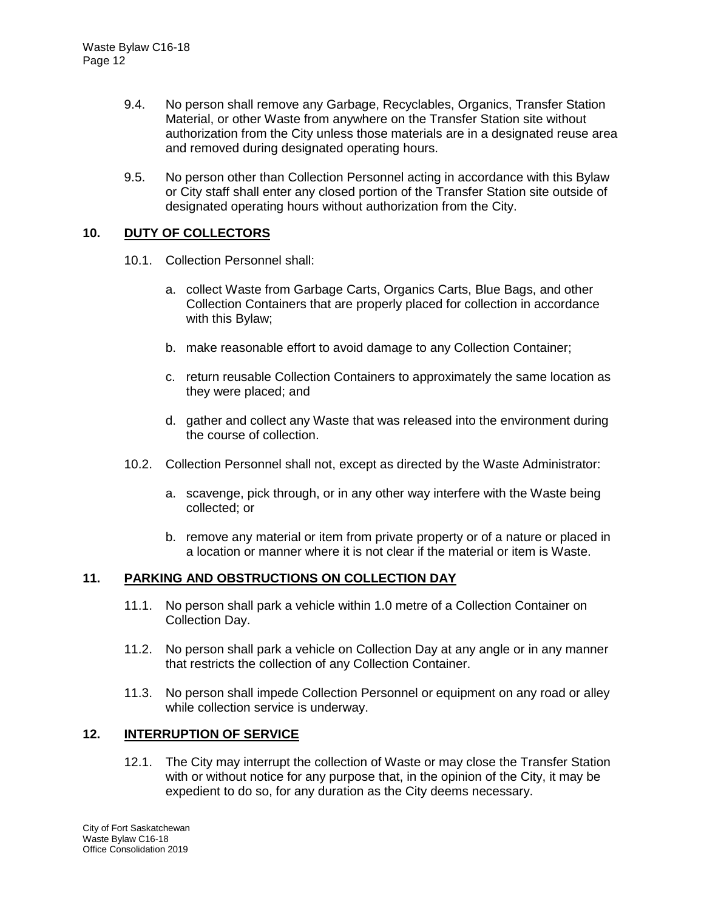- 9.4. No person shall remove any Garbage, Recyclables, Organics, Transfer Station Material, or other Waste from anywhere on the Transfer Station site without authorization from the City unless those materials are in a designated reuse area and removed during designated operating hours.
- 9.5. No person other than Collection Personnel acting in accordance with this Bylaw or City staff shall enter any closed portion of the Transfer Station site outside of designated operating hours without authorization from the City.

### **10. DUTY OF COLLECTORS**

- 10.1. Collection Personnel shall:
	- a. collect Waste from Garbage Carts, Organics Carts, Blue Bags, and other Collection Containers that are properly placed for collection in accordance with this Bylaw;
	- b. make reasonable effort to avoid damage to any Collection Container;
	- c. return reusable Collection Containers to approximately the same location as they were placed; and
	- d. gather and collect any Waste that was released into the environment during the course of collection.
- 10.2. Collection Personnel shall not, except as directed by the Waste Administrator:
	- a. scavenge, pick through, or in any other way interfere with the Waste being collected; or
	- b. remove any material or item from private property or of a nature or placed in a location or manner where it is not clear if the material or item is Waste.

### **11. PARKING AND OBSTRUCTIONS ON COLLECTION DAY**

- 11.1. No person shall park a vehicle within 1.0 metre of a Collection Container on Collection Day.
- 11.2. No person shall park a vehicle on Collection Day at any angle or in any manner that restricts the collection of any Collection Container.
- 11.3. No person shall impede Collection Personnel or equipment on any road or alley while collection service is underway.

### **12. INTERRUPTION OF SERVICE**

12.1. The City may interrupt the collection of Waste or may close the Transfer Station with or without notice for any purpose that, in the opinion of the City, it may be expedient to do so, for any duration as the City deems necessary.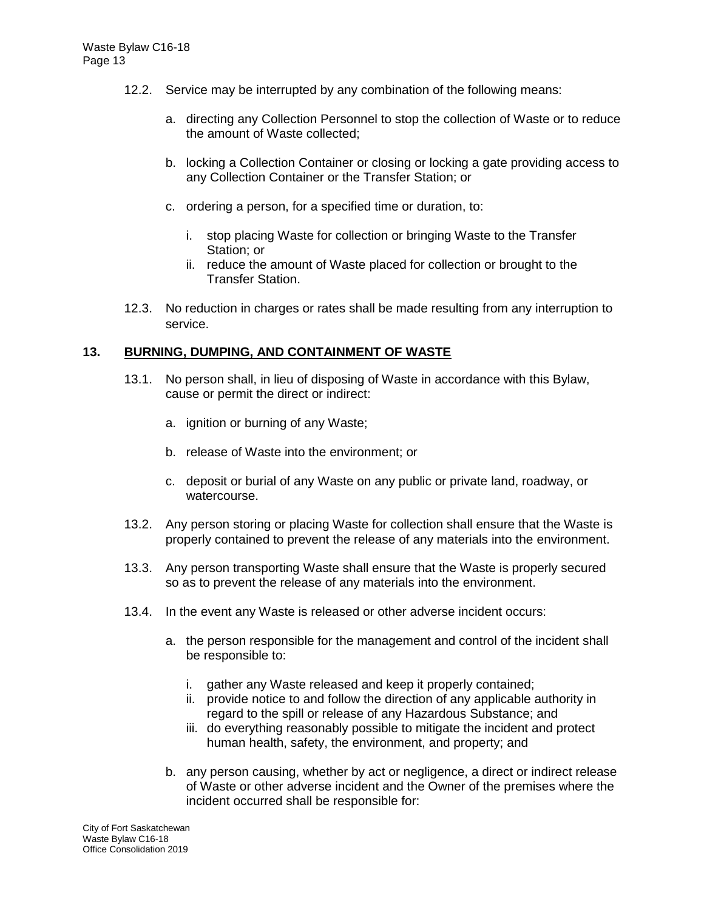- 12.2. Service may be interrupted by any combination of the following means:
	- a. directing any Collection Personnel to stop the collection of Waste or to reduce the amount of Waste collected;
	- b. locking a Collection Container or closing or locking a gate providing access to any Collection Container or the Transfer Station; or
	- c. ordering a person, for a specified time or duration, to:
		- i. stop placing Waste for collection or bringing Waste to the Transfer Station; or
		- ii. reduce the amount of Waste placed for collection or brought to the Transfer Station.
- 12.3. No reduction in charges or rates shall be made resulting from any interruption to service.

#### **13. BURNING, DUMPING, AND CONTAINMENT OF WASTE**

- 13.1. No person shall, in lieu of disposing of Waste in accordance with this Bylaw, cause or permit the direct or indirect:
	- a. ignition or burning of any Waste;
	- b. release of Waste into the environment; or
	- c. deposit or burial of any Waste on any public or private land, roadway, or watercourse.
- 13.2. Any person storing or placing Waste for collection shall ensure that the Waste is properly contained to prevent the release of any materials into the environment.
- 13.3. Any person transporting Waste shall ensure that the Waste is properly secured so as to prevent the release of any materials into the environment.
- 13.4. In the event any Waste is released or other adverse incident occurs:
	- a. the person responsible for the management and control of the incident shall be responsible to:
		- i. gather any Waste released and keep it properly contained;
		- ii. provide notice to and follow the direction of any applicable authority in regard to the spill or release of any Hazardous Substance; and
		- iii. do everything reasonably possible to mitigate the incident and protect human health, safety, the environment, and property; and
	- b. any person causing, whether by act or negligence, a direct or indirect release of Waste or other adverse incident and the Owner of the premises where the incident occurred shall be responsible for: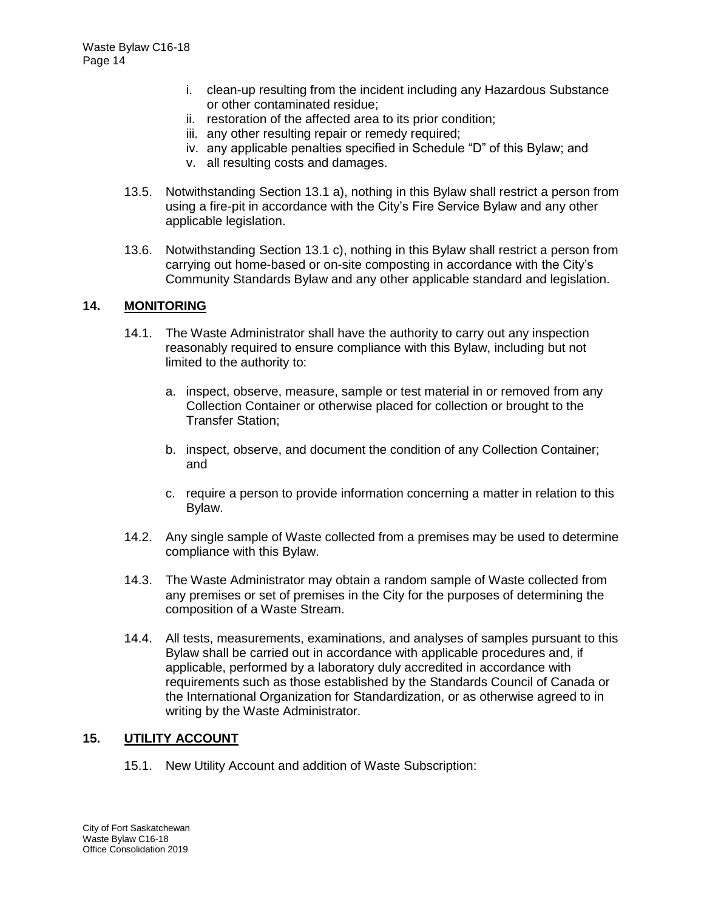- i. clean-up resulting from the incident including any Hazardous Substance or other contaminated residue;
- ii. restoration of the affected area to its prior condition;
- iii. any other resulting repair or remedy required;
- iv. any applicable penalties specified in Schedule "D" of this Bylaw; and
- v. all resulting costs and damages.
- 13.5. Notwithstanding Section 13.1 a), nothing in this Bylaw shall restrict a person from using a fire-pit in accordance with the City's Fire Service Bylaw and any other applicable legislation.
- 13.6. Notwithstanding Section 13.1 c), nothing in this Bylaw shall restrict a person from carrying out home-based or on-site composting in accordance with the City's Community Standards Bylaw and any other applicable standard and legislation.

#### **14. MONITORING**

- 14.1. The Waste Administrator shall have the authority to carry out any inspection reasonably required to ensure compliance with this Bylaw, including but not limited to the authority to:
	- a. inspect, observe, measure, sample or test material in or removed from any Collection Container or otherwise placed for collection or brought to the Transfer Station;
	- b. inspect, observe, and document the condition of any Collection Container; and
	- c. require a person to provide information concerning a matter in relation to this Bylaw.
- 14.2. Any single sample of Waste collected from a premises may be used to determine compliance with this Bylaw.
- 14.3. The Waste Administrator may obtain a random sample of Waste collected from any premises or set of premises in the City for the purposes of determining the composition of a Waste Stream.
- 14.4. All tests, measurements, examinations, and analyses of samples pursuant to this Bylaw shall be carried out in accordance with applicable procedures and, if applicable, performed by a laboratory duly accredited in accordance with requirements such as those established by the Standards Council of Canada or the International Organization for Standardization, or as otherwise agreed to in writing by the Waste Administrator.

### **15. UTILITY ACCOUNT**

15.1. New Utility Account and addition of Waste Subscription: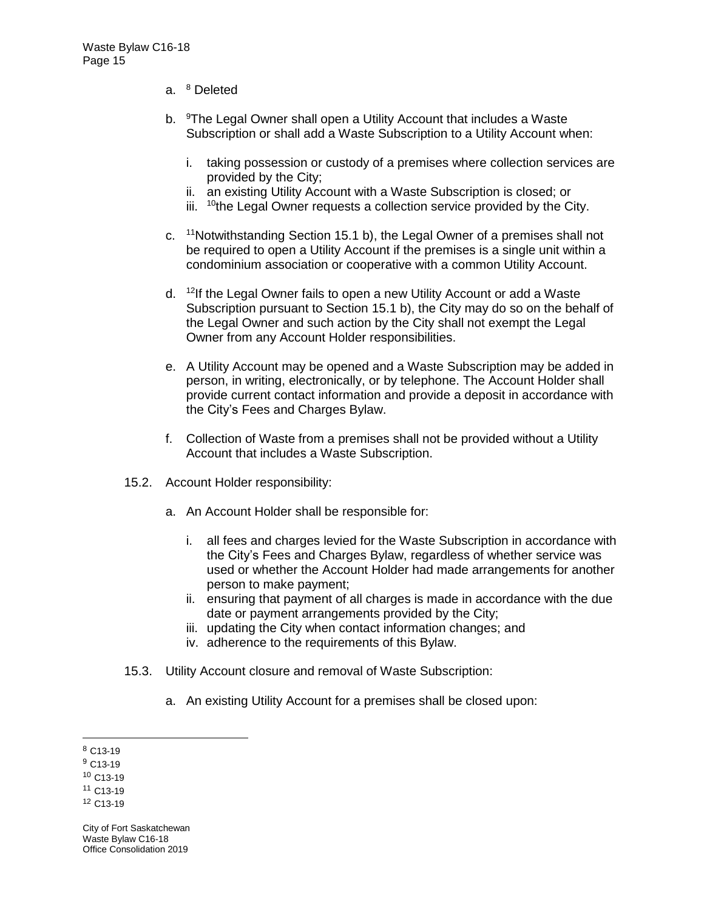- a. <sup>8</sup> Deleted
- b. <sup>9</sup>The Legal Owner shall open a Utility Account that includes a Waste Subscription or shall add a Waste Subscription to a Utility Account when:
	- i. taking possession or custody of a premises where collection services are provided by the City;
	- ii. an existing Utility Account with a Waste Subscription is closed; or
	- iii.  $10$ <sup>the Legal Owner requests a collection service provided by the City.</sup>
- c. <sup>11</sup>Notwithstanding Section 15.1 b), the Legal Owner of a premises shall not be required to open a Utility Account if the premises is a single unit within a condominium association or cooperative with a common Utility Account.
- d. <sup>12</sup>If the Legal Owner fails to open a new Utility Account or add a Waste Subscription pursuant to Section 15.1 b), the City may do so on the behalf of the Legal Owner and such action by the City shall not exempt the Legal Owner from any Account Holder responsibilities.
- e. A Utility Account may be opened and a Waste Subscription may be added in person, in writing, electronically, or by telephone. The Account Holder shall provide current contact information and provide a deposit in accordance with the City's Fees and Charges Bylaw.
- f. Collection of Waste from a premises shall not be provided without a Utility Account that includes a Waste Subscription.
- 15.2. Account Holder responsibility:
	- a. An Account Holder shall be responsible for:
		- i. all fees and charges levied for the Waste Subscription in accordance with the City's Fees and Charges Bylaw, regardless of whether service was used or whether the Account Holder had made arrangements for another person to make payment;
		- ii. ensuring that payment of all charges is made in accordance with the due date or payment arrangements provided by the City;
		- iii. updating the City when contact information changes; and
		- iv. adherence to the requirements of this Bylaw.
- 15.3. Utility Account closure and removal of Waste Subscription:
	- a. An existing Utility Account for a premises shall be closed upon:

 <sup>8</sup> C13-19

<sup>9</sup> C13-19

<sup>10</sup> C13-19

<sup>11</sup> C13-19

<sup>12</sup> C13-19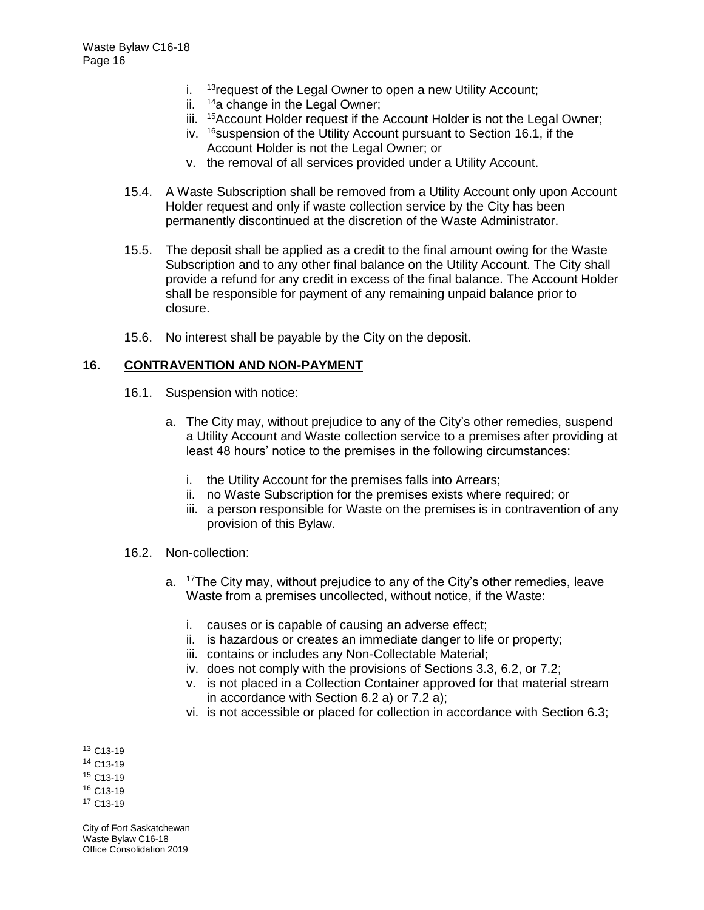- i.  $13$  request of the Legal Owner to open a new Utility Account;
- ii.  $14a$  change in the Legal Owner;
- iii. <sup>15</sup> Account Holder request if the Account Holder is not the Legal Owner;
- iv. <sup>16</sup> suspension of the Utility Account pursuant to Section 16.1, if the Account Holder is not the Legal Owner; or
- v. the removal of all services provided under a Utility Account.
- 15.4. A Waste Subscription shall be removed from a Utility Account only upon Account Holder request and only if waste collection service by the City has been permanently discontinued at the discretion of the Waste Administrator.
- 15.5. The deposit shall be applied as a credit to the final amount owing for the Waste Subscription and to any other final balance on the Utility Account. The City shall provide a refund for any credit in excess of the final balance. The Account Holder shall be responsible for payment of any remaining unpaid balance prior to closure.
- 15.6. No interest shall be payable by the City on the deposit.

### **16. CONTRAVENTION AND NON-PAYMENT**

- 16.1. Suspension with notice:
	- a. The City may, without prejudice to any of the City's other remedies, suspend a Utility Account and Waste collection service to a premises after providing at least 48 hours' notice to the premises in the following circumstances:
		- i. the Utility Account for the premises falls into Arrears;
		- ii. no Waste Subscription for the premises exists where required; or
		- iii. a person responsible for Waste on the premises is in contravention of any provision of this Bylaw.
- 16.2. Non-collection:
	- a. <sup>17</sup>The City may, without prejudice to any of the City's other remedies, leave Waste from a premises uncollected, without notice, if the Waste:
		- i. causes or is capable of causing an adverse effect;
		- ii. is hazardous or creates an immediate danger to life or property;
		- iii. contains or includes any Non-Collectable Material;
		- iv. does not comply with the provisions of Sections 3.3, 6.2, or 7.2;
		- v. is not placed in a Collection Container approved for that material stream in accordance with Section 6.2 a) or 7.2 a);
		- vi. is not accessible or placed for collection in accordance with Section 6.3;

City of Fort Saskatchewan Waste Bylaw C16-18 Office Consolidation 2019

 <sup>13</sup> C13-19

<sup>14</sup> C13-19

<sup>15</sup> C13-19

<sup>16</sup> C13-19

<sup>17</sup> C13-19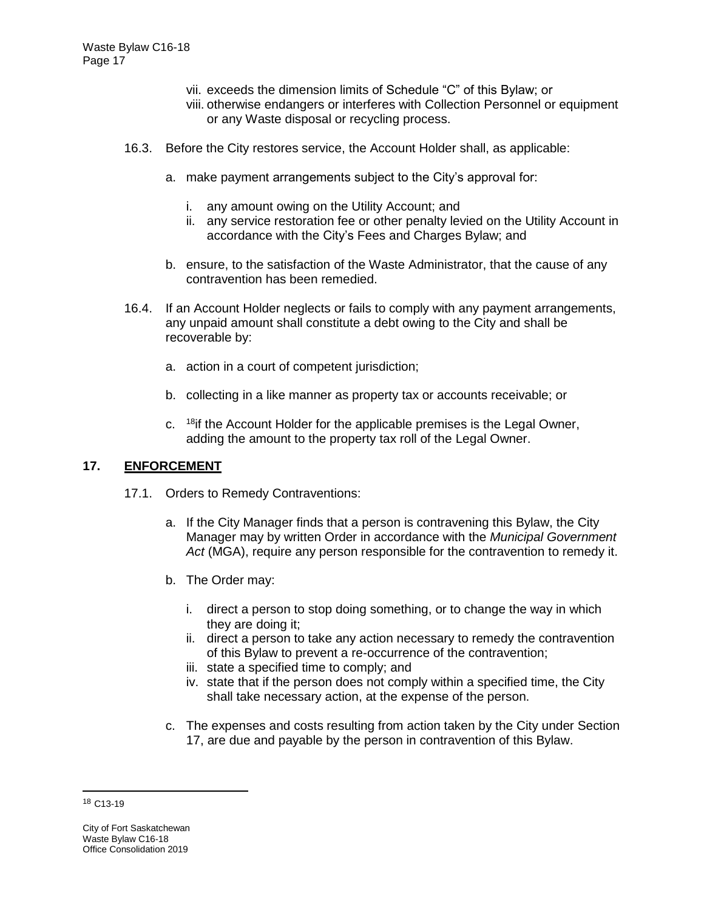- vii. exceeds the dimension limits of Schedule "C" of this Bylaw; or
- viii. otherwise endangers or interferes with Collection Personnel or equipment or any Waste disposal or recycling process.
- 16.3. Before the City restores service, the Account Holder shall, as applicable:
	- a. make payment arrangements subject to the City's approval for:
		- i. any amount owing on the Utility Account; and
		- ii. any service restoration fee or other penalty levied on the Utility Account in accordance with the City's Fees and Charges Bylaw; and
	- b. ensure, to the satisfaction of the Waste Administrator, that the cause of any contravention has been remedied.
- 16.4. If an Account Holder neglects or fails to comply with any payment arrangements, any unpaid amount shall constitute a debt owing to the City and shall be recoverable by:
	- a. action in a court of competent jurisdiction;
	- b. collecting in a like manner as property tax or accounts receivable; or
	- c. <sup>18</sup>if the Account Holder for the applicable premises is the Legal Owner, adding the amount to the property tax roll of the Legal Owner.

#### **17. ENFORCEMENT**

- 17.1. Orders to Remedy Contraventions:
	- a. If the City Manager finds that a person is contravening this Bylaw, the City Manager may by written Order in accordance with the *Municipal Government Act* (MGA), require any person responsible for the contravention to remedy it.
	- b. The Order may:
		- i. direct a person to stop doing something, or to change the way in which they are doing it;
		- ii. direct a person to take any action necessary to remedy the contravention of this Bylaw to prevent a re-occurrence of the contravention;
		- iii. state a specified time to comply; and
		- iv. state that if the person does not comply within a specified time, the City shall take necessary action, at the expense of the person.
	- c. The expenses and costs resulting from action taken by the City under Section 17, are due and payable by the person in contravention of this Bylaw.

 $\overline{a}$ 

<sup>18</sup> C13-19

City of Fort Saskatchewan Waste Bylaw C16-18 Office Consolidation 2019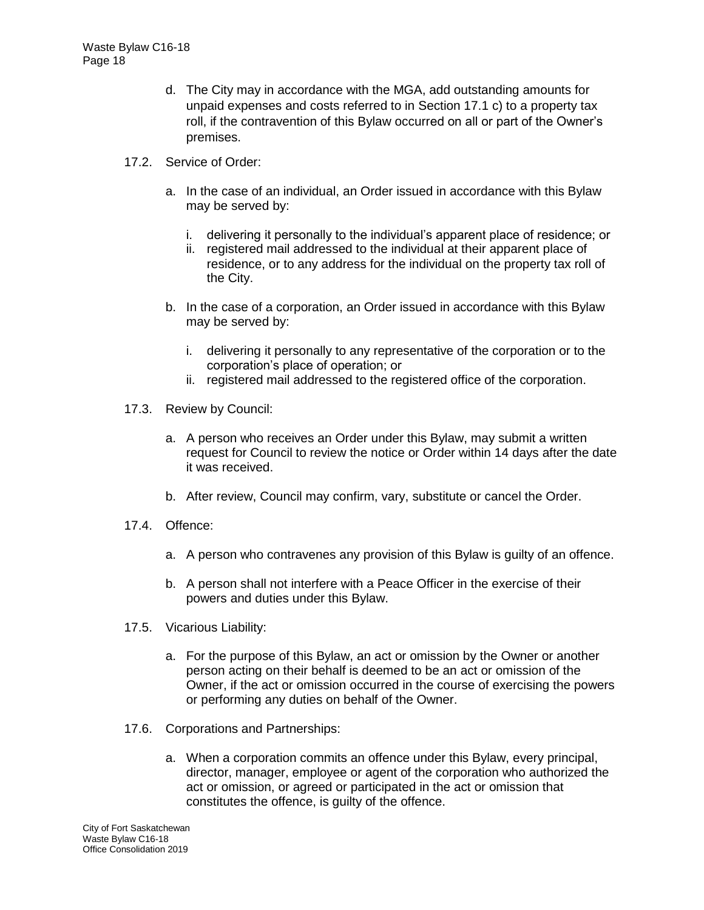- d. The City may in accordance with the MGA, add outstanding amounts for unpaid expenses and costs referred to in Section 17.1 c) to a property tax roll, if the contravention of this Bylaw occurred on all or part of the Owner's premises.
- 17.2. Service of Order:
	- a. In the case of an individual, an Order issued in accordance with this Bylaw may be served by:
		- i. delivering it personally to the individual's apparent place of residence; or
		- ii. registered mail addressed to the individual at their apparent place of residence, or to any address for the individual on the property tax roll of the City.
	- b. In the case of a corporation, an Order issued in accordance with this Bylaw may be served by:
		- i. delivering it personally to any representative of the corporation or to the corporation's place of operation; or
		- ii. registered mail addressed to the registered office of the corporation.
- 17.3. Review by Council:
	- a. A person who receives an Order under this Bylaw, may submit a written request for Council to review the notice or Order within 14 days after the date it was received.
	- b. After review, Council may confirm, vary, substitute or cancel the Order.
- 17.4. Offence:
	- a. A person who contravenes any provision of this Bylaw is guilty of an offence.
	- b. A person shall not interfere with a Peace Officer in the exercise of their powers and duties under this Bylaw.
- 17.5. Vicarious Liability:
	- a. For the purpose of this Bylaw, an act or omission by the Owner or another person acting on their behalf is deemed to be an act or omission of the Owner, if the act or omission occurred in the course of exercising the powers or performing any duties on behalf of the Owner.
- 17.6. Corporations and Partnerships:
	- a. When a corporation commits an offence under this Bylaw, every principal, director, manager, employee or agent of the corporation who authorized the act or omission, or agreed or participated in the act or omission that constitutes the offence, is guilty of the offence.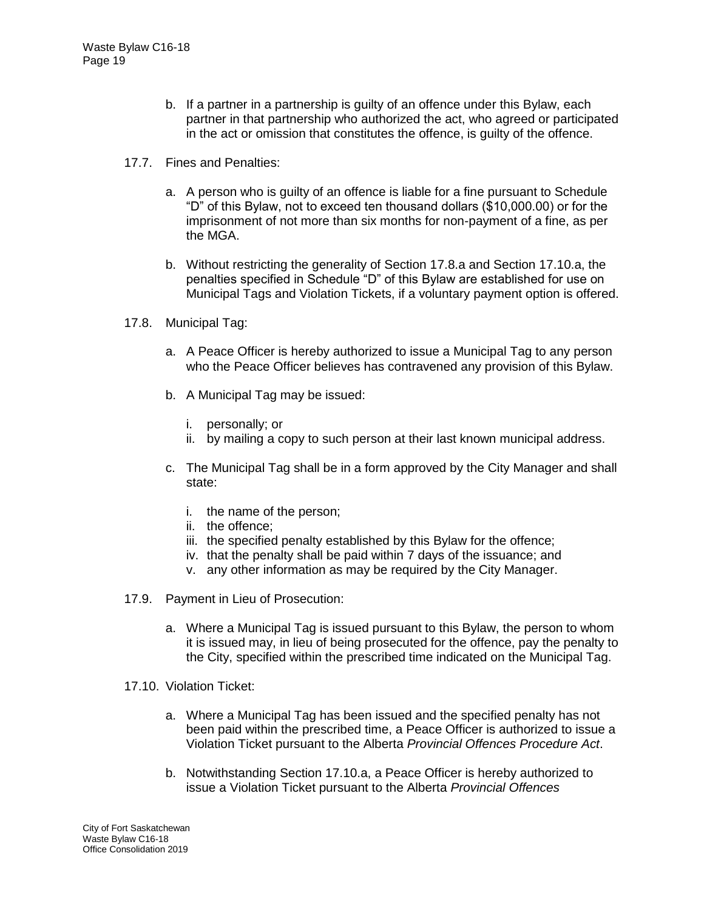- b. If a partner in a partnership is guilty of an offence under this Bylaw, each partner in that partnership who authorized the act, who agreed or participated in the act or omission that constitutes the offence, is guilty of the offence.
- 17.7. Fines and Penalties:
	- a. A person who is guilty of an offence is liable for a fine pursuant to Schedule "D" of this Bylaw, not to exceed ten thousand dollars (\$10,000.00) or for the imprisonment of not more than six months for non-payment of a fine, as per the MGA.
	- b. Without restricting the generality of Section 17.8.a and Section 17.10.a, the penalties specified in Schedule "D" of this Bylaw are established for use on Municipal Tags and Violation Tickets, if a voluntary payment option is offered.
- 17.8. Municipal Tag:
	- a. A Peace Officer is hereby authorized to issue a Municipal Tag to any person who the Peace Officer believes has contravened any provision of this Bylaw.
	- b. A Municipal Tag may be issued:
		- i. personally; or
		- ii. by mailing a copy to such person at their last known municipal address.
	- c. The Municipal Tag shall be in a form approved by the City Manager and shall state:
		- i. the name of the person;
		- ii. the offence;
		- iii. the specified penalty established by this Bylaw for the offence;
		- iv. that the penalty shall be paid within 7 days of the issuance; and
		- v. any other information as may be required by the City Manager.
- 17.9. Payment in Lieu of Prosecution:
	- a. Where a Municipal Tag is issued pursuant to this Bylaw, the person to whom it is issued may, in lieu of being prosecuted for the offence, pay the penalty to the City, specified within the prescribed time indicated on the Municipal Tag.
- 17.10. Violation Ticket:
	- a. Where a Municipal Tag has been issued and the specified penalty has not been paid within the prescribed time, a Peace Officer is authorized to issue a Violation Ticket pursuant to the Alberta *Provincial Offences Procedure Act*.
	- b. Notwithstanding Section 17.10.a, a Peace Officer is hereby authorized to issue a Violation Ticket pursuant to the Alberta *Provincial Offences*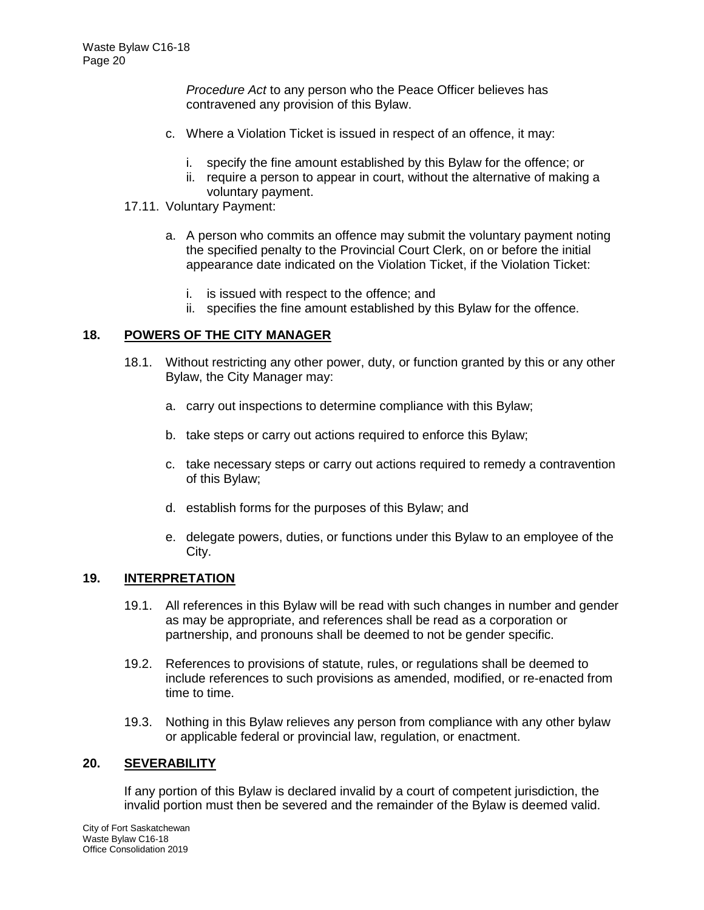*Procedure Act* to any person who the Peace Officer believes has contravened any provision of this Bylaw.

- c. Where a Violation Ticket is issued in respect of an offence, it may:
	- i. specify the fine amount established by this Bylaw for the offence; or
	- ii. require a person to appear in court, without the alternative of making a voluntary payment.
- 17.11. Voluntary Payment:
	- a. A person who commits an offence may submit the voluntary payment noting the specified penalty to the Provincial Court Clerk, on or before the initial appearance date indicated on the Violation Ticket, if the Violation Ticket:
		- i. is issued with respect to the offence; and
		- ii. specifies the fine amount established by this Bylaw for the offence.

## **18. POWERS OF THE CITY MANAGER**

- 18.1. Without restricting any other power, duty, or function granted by this or any other Bylaw, the City Manager may:
	- a. carry out inspections to determine compliance with this Bylaw;
	- b. take steps or carry out actions required to enforce this Bylaw;
	- c. take necessary steps or carry out actions required to remedy a contravention of this Bylaw;
	- d. establish forms for the purposes of this Bylaw; and
	- e. delegate powers, duties, or functions under this Bylaw to an employee of the City.

### **19. INTERPRETATION**

- 19.1. All references in this Bylaw will be read with such changes in number and gender as may be appropriate, and references shall be read as a corporation or partnership, and pronouns shall be deemed to not be gender specific.
- 19.2. References to provisions of statute, rules, or regulations shall be deemed to include references to such provisions as amended, modified, or re-enacted from time to time.
- 19.3. Nothing in this Bylaw relieves any person from compliance with any other bylaw or applicable federal or provincial law, regulation, or enactment.

#### **20. SEVERABILITY**

If any portion of this Bylaw is declared invalid by a court of competent jurisdiction, the invalid portion must then be severed and the remainder of the Bylaw is deemed valid.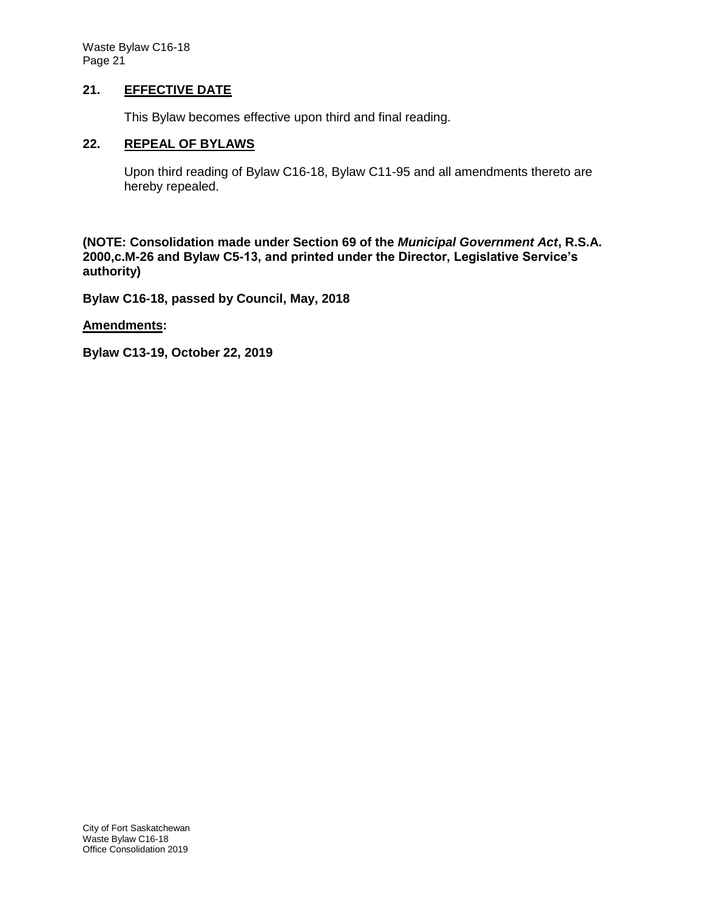Waste Bylaw C16-18 Page 21

### **21. EFFECTIVE DATE**

This Bylaw becomes effective upon third and final reading.

#### **22. REPEAL OF BYLAWS**

Upon third reading of Bylaw C16-18, Bylaw C11-95 and all amendments thereto are hereby repealed.

**(NOTE: Consolidation made under Section 69 of the** *Municipal Government Act***, R.S.A. 2000,c.M-26 and Bylaw C5-13, and printed under the Director, Legislative Service's authority)**

**Bylaw C16-18, passed by Council, May, 2018**

**Amendments:**

**Bylaw C13-19, October 22, 2019**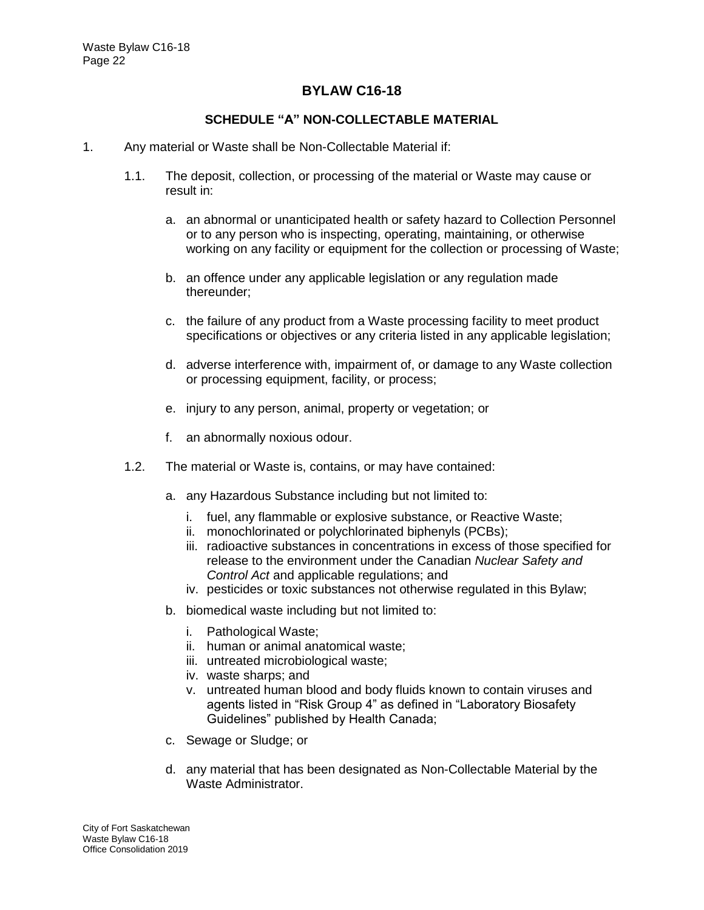## **BYLAW C16-18**

### **SCHEDULE "A" NON-COLLECTABLE MATERIAL**

- 1. Any material or Waste shall be Non-Collectable Material if:
	- 1.1. The deposit, collection, or processing of the material or Waste may cause or result in:
		- a. an abnormal or unanticipated health or safety hazard to Collection Personnel or to any person who is inspecting, operating, maintaining, or otherwise working on any facility or equipment for the collection or processing of Waste;
		- b. an offence under any applicable legislation or any regulation made thereunder;
		- c. the failure of any product from a Waste processing facility to meet product specifications or objectives or any criteria listed in any applicable legislation;
		- d. adverse interference with, impairment of, or damage to any Waste collection or processing equipment, facility, or process;
		- e. injury to any person, animal, property or vegetation; or
		- f. an abnormally noxious odour.
	- 1.2. The material or Waste is, contains, or may have contained:
		- a. any Hazardous Substance including but not limited to:
			- i. fuel, any flammable or explosive substance, or Reactive Waste;
			- ii. monochlorinated or polychlorinated biphenyls (PCBs);
			- iii. radioactive substances in concentrations in excess of those specified for release to the environment under the Canadian *Nuclear Safety and Control Act* and applicable regulations; and
			- iv. pesticides or toxic substances not otherwise regulated in this Bylaw;
		- b. biomedical waste including but not limited to:
			- i. Pathological Waste;
			- ii. human or animal anatomical waste;
			- iii. untreated microbiological waste;
			- iv. waste sharps; and
			- v. untreated human blood and body fluids known to contain viruses and agents listed in "Risk Group 4" as defined in "Laboratory Biosafety Guidelines" published by Health Canada;
		- c. Sewage or Sludge; or
		- d. any material that has been designated as Non-Collectable Material by the Waste Administrator.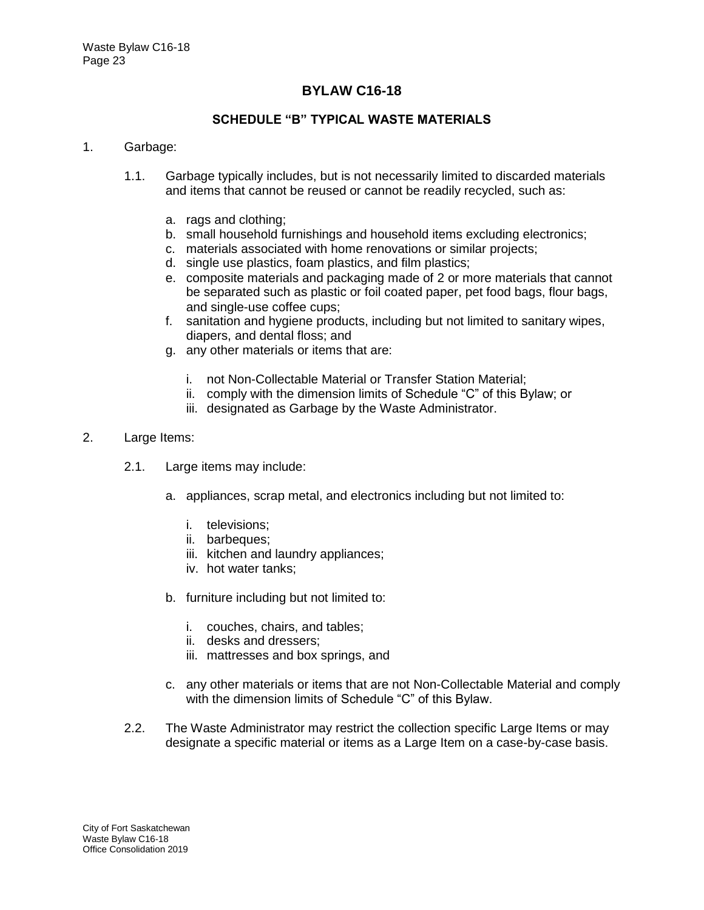## **BYLAW C16-18**

## **SCHEDULE "B" TYPICAL WASTE MATERIALS**

#### 1. Garbage:

- 1.1. Garbage typically includes, but is not necessarily limited to discarded materials and items that cannot be reused or cannot be readily recycled, such as:
	- a. rags and clothing;
	- b. small household furnishings and household items excluding electronics;
	- c. materials associated with home renovations or similar projects;
	- d. single use plastics, foam plastics, and film plastics;
	- e. composite materials and packaging made of 2 or more materials that cannot be separated such as plastic or foil coated paper, pet food bags, flour bags, and single-use coffee cups;
	- f. sanitation and hygiene products, including but not limited to sanitary wipes, diapers, and dental floss; and
	- g. any other materials or items that are:
		- i. not Non-Collectable Material or Transfer Station Material;
		- ii. comply with the dimension limits of Schedule "C" of this Bylaw; or
		- iii. designated as Garbage by the Waste Administrator.

#### 2. Large Items:

- 2.1. Large items may include:
	- a. appliances, scrap metal, and electronics including but not limited to:
		- i. televisions;
		- ii. barbeques:
		- iii. kitchen and laundry appliances;
		- iv. hot water tanks;
	- b. furniture including but not limited to:
		- i. couches, chairs, and tables;
		- ii. desks and dressers;
		- iii. mattresses and box springs, and
	- c. any other materials or items that are not Non-Collectable Material and comply with the dimension limits of Schedule "C" of this Bylaw.
- 2.2. The Waste Administrator may restrict the collection specific Large Items or may designate a specific material or items as a Large Item on a case-by-case basis.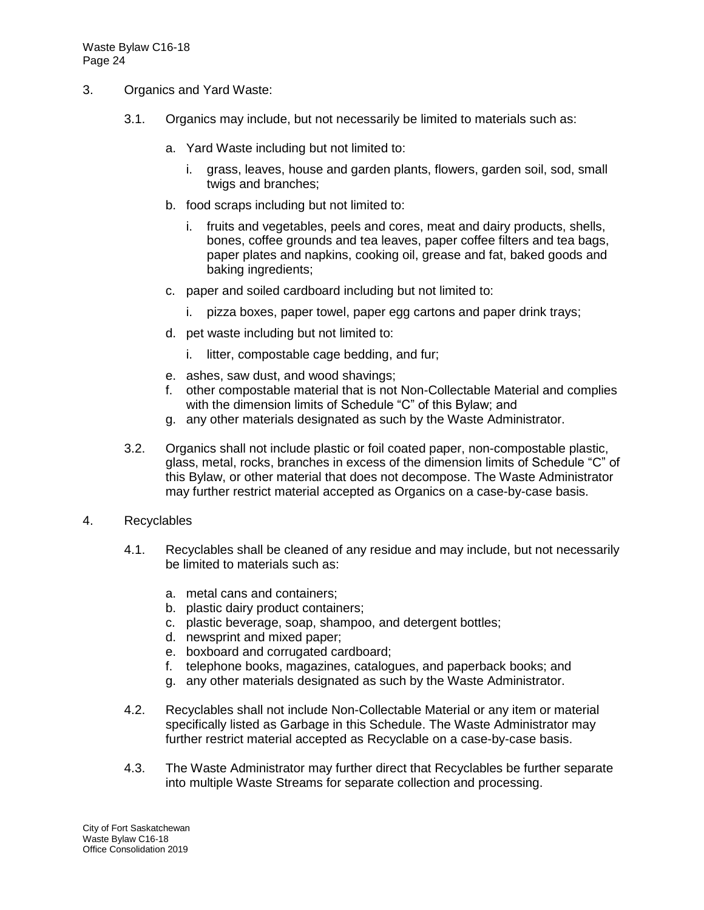- 3. Organics and Yard Waste:
	- 3.1. Organics may include, but not necessarily be limited to materials such as:
		- a. Yard Waste including but not limited to:
			- i. grass, leaves, house and garden plants, flowers, garden soil, sod, small twigs and branches;
		- b. food scraps including but not limited to:
			- i. fruits and vegetables, peels and cores, meat and dairy products, shells, bones, coffee grounds and tea leaves, paper coffee filters and tea bags, paper plates and napkins, cooking oil, grease and fat, baked goods and baking ingredients;
		- c. paper and soiled cardboard including but not limited to:
			- i. pizza boxes, paper towel, paper egg cartons and paper drink trays;
		- d. pet waste including but not limited to:
			- i. litter, compostable cage bedding, and fur;
		- e. ashes, saw dust, and wood shavings;
		- f. other compostable material that is not Non-Collectable Material and complies with the dimension limits of Schedule "C" of this Bylaw; and
		- g. any other materials designated as such by the Waste Administrator.
	- 3.2. Organics shall not include plastic or foil coated paper, non-compostable plastic, glass, metal, rocks, branches in excess of the dimension limits of Schedule "C" of this Bylaw, or other material that does not decompose. The Waste Administrator may further restrict material accepted as Organics on a case-by-case basis.
- 4. Recyclables
	- 4.1. Recyclables shall be cleaned of any residue and may include, but not necessarily be limited to materials such as:
		- a. metal cans and containers;
		- b. plastic dairy product containers;
		- c. plastic beverage, soap, shampoo, and detergent bottles;
		- d. newsprint and mixed paper;
		- e. boxboard and corrugated cardboard;
		- f. telephone books, magazines, catalogues, and paperback books; and
		- g. any other materials designated as such by the Waste Administrator.
	- 4.2. Recyclables shall not include Non-Collectable Material or any item or material specifically listed as Garbage in this Schedule. The Waste Administrator may further restrict material accepted as Recyclable on a case-by-case basis.
	- 4.3. The Waste Administrator may further direct that Recyclables be further separate into multiple Waste Streams for separate collection and processing.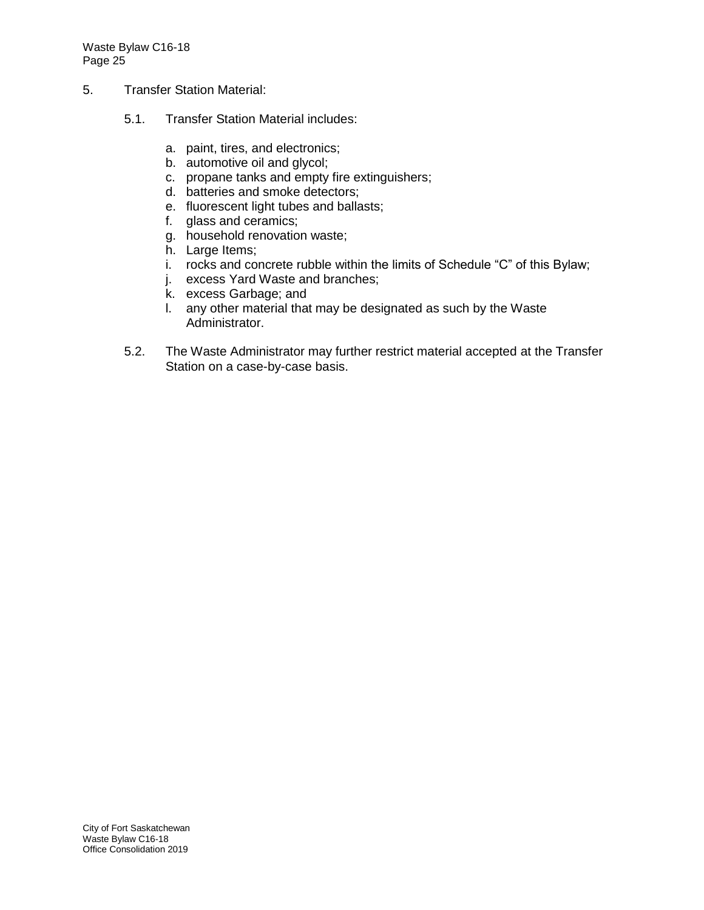Waste Bylaw C16-18 Page 25

- 5. Transfer Station Material:
	- 5.1. Transfer Station Material includes:
		- a. paint, tires, and electronics;
		- b. automotive oil and glycol;
		- c. propane tanks and empty fire extinguishers;
		- d. batteries and smoke detectors;
		- e. fluorescent light tubes and ballasts;
		- f. glass and ceramics;
		- g. household renovation waste;
		- h. Large Items;
		- i. rocks and concrete rubble within the limits of Schedule "C" of this Bylaw;
		- j. excess Yard Waste and branches;
		- k. excess Garbage; and
		- l. any other material that may be designated as such by the Waste Administrator.
	- 5.2. The Waste Administrator may further restrict material accepted at the Transfer Station on a case-by-case basis.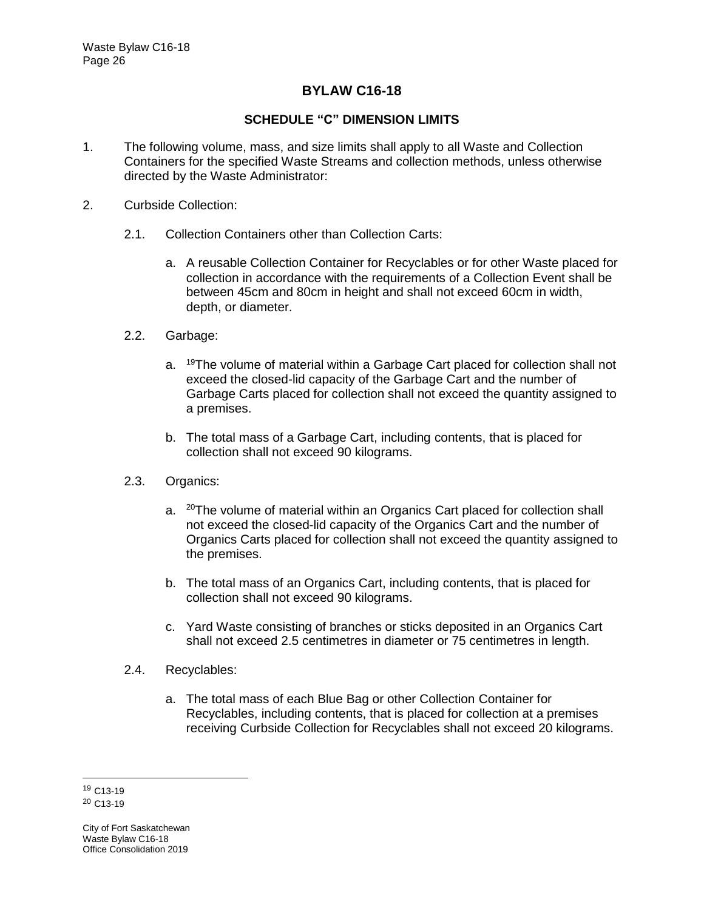## **BYLAW C16-18**

## **SCHEDULE "C" DIMENSION LIMITS**

- 1. The following volume, mass, and size limits shall apply to all Waste and Collection Containers for the specified Waste Streams and collection methods, unless otherwise directed by the Waste Administrator:
- 2. Curbside Collection:
	- 2.1. Collection Containers other than Collection Carts:
		- a. A reusable Collection Container for Recyclables or for other Waste placed for collection in accordance with the requirements of a Collection Event shall be between 45cm and 80cm in height and shall not exceed 60cm in width, depth, or diameter.
	- 2.2. Garbage:
		- a. <sup>19</sup>The volume of material within a Garbage Cart placed for collection shall not exceed the closed-lid capacity of the Garbage Cart and the number of Garbage Carts placed for collection shall not exceed the quantity assigned to a premises.
		- b. The total mass of a Garbage Cart, including contents, that is placed for collection shall not exceed 90 kilograms.
	- 2.3. Organics:
		- a. <sup>20</sup>The volume of material within an Organics Cart placed for collection shall not exceed the closed-lid capacity of the Organics Cart and the number of Organics Carts placed for collection shall not exceed the quantity assigned to the premises.
		- b. The total mass of an Organics Cart, including contents, that is placed for collection shall not exceed 90 kilograms.
		- c. Yard Waste consisting of branches or sticks deposited in an Organics Cart shall not exceed 2.5 centimetres in diameter or 75 centimetres in length.
	- 2.4. Recyclables:
		- a. The total mass of each Blue Bag or other Collection Container for Recyclables, including contents, that is placed for collection at a premises receiving Curbside Collection for Recyclables shall not exceed 20 kilograms.

<sup>19</sup> C13-19 <sup>20</sup> C13-19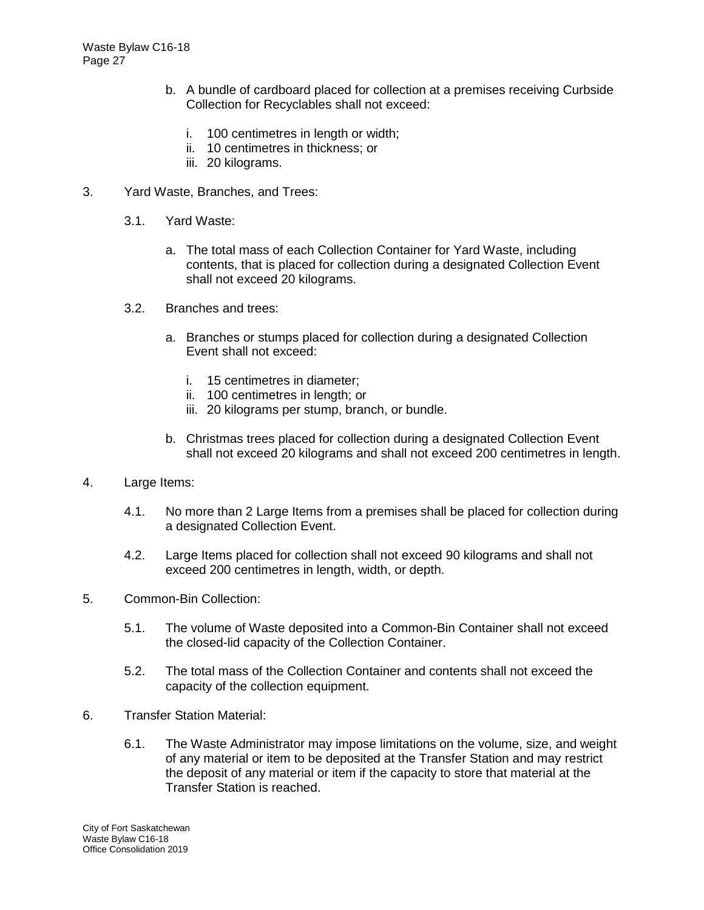- b. A bundle of cardboard placed for collection at a premises receiving Curbside Collection for Recyclables shall not exceed:
	- i. 100 centimetres in length or width;
	- ii. 10 centimetres in thickness; or
	- iii. 20 kilograms.
- 3. Yard Waste, Branches, and Trees:
	- 3.1. Yard Waste:
		- a. The total mass of each Collection Container for Yard Waste, including contents, that is placed for collection during a designated Collection Event shall not exceed 20 kilograms.
	- 3.2. Branches and trees:
		- a. Branches or stumps placed for collection during a designated Collection Event shall not exceed:
			- i. 15 centimetres in diameter;
			- ii. 100 centimetres in length; or
			- iii. 20 kilograms per stump, branch, or bundle.
		- b. Christmas trees placed for collection during a designated Collection Event shall not exceed 20 kilograms and shall not exceed 200 centimetres in length.
- 4. Large Items:
	- 4.1. No more than 2 Large Items from a premises shall be placed for collection during a designated Collection Event.
	- 4.2. Large Items placed for collection shall not exceed 90 kilograms and shall not exceed 200 centimetres in length, width, or depth.
- 5. Common-Bin Collection:
	- 5.1. The volume of Waste deposited into a Common-Bin Container shall not exceed the closed-lid capacity of the Collection Container.
	- 5.2. The total mass of the Collection Container and contents shall not exceed the capacity of the collection equipment.
- 6. Transfer Station Material:
	- 6.1. The Waste Administrator may impose limitations on the volume, size, and weight of any material or item to be deposited at the Transfer Station and may restrict the deposit of any material or item if the capacity to store that material at the Transfer Station is reached.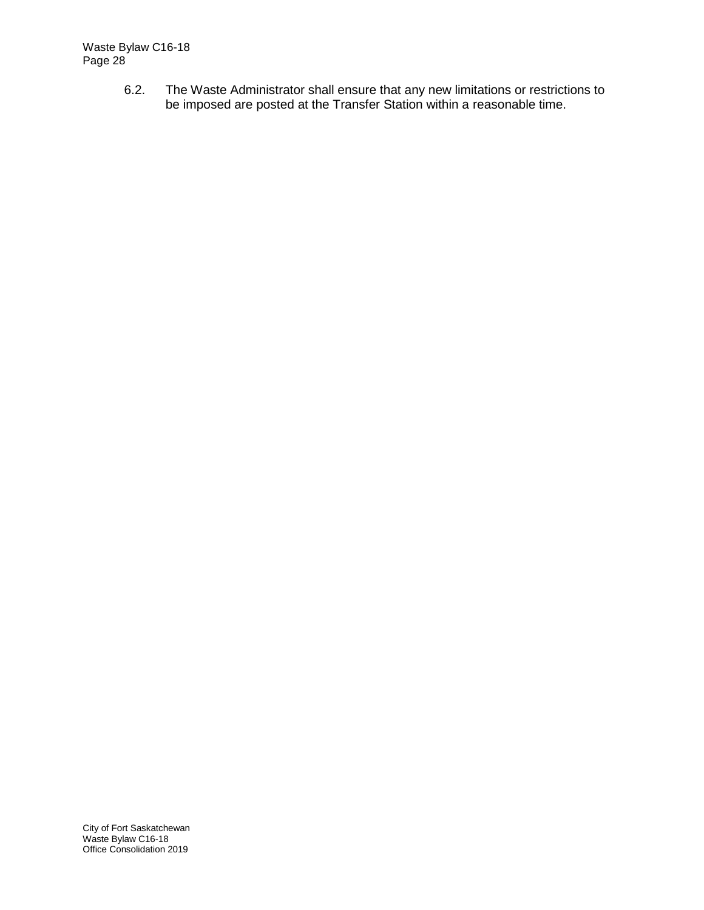6.2. The Waste Administrator shall ensure that any new limitations or restrictions to be imposed are posted at the Transfer Station within a reasonable time.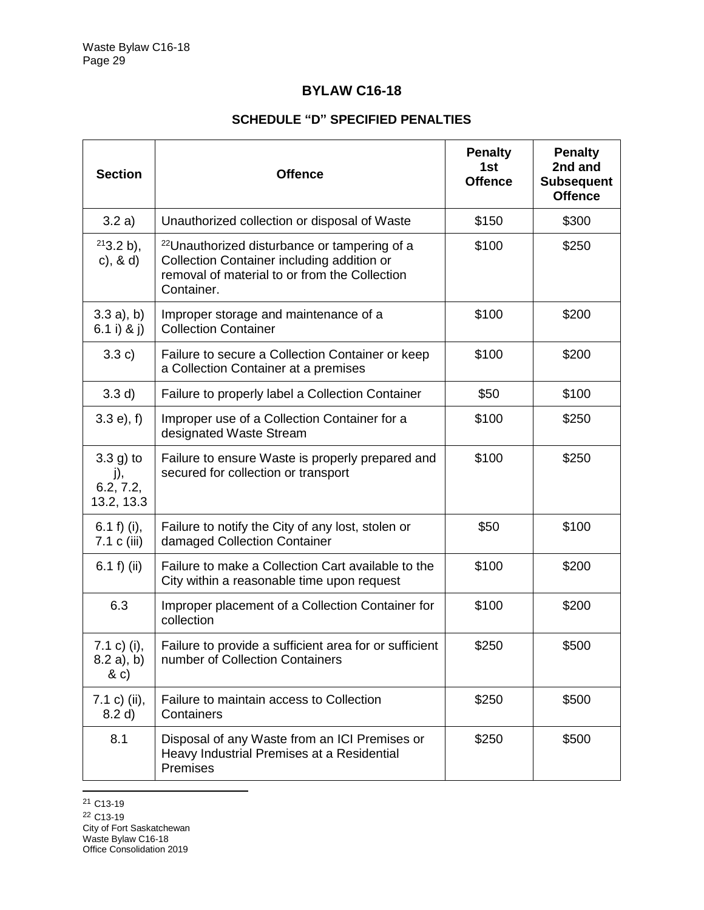# **BYLAW C16-18**

## **SCHEDULE "D" SPECIFIED PENALTIES**

| <b>Section</b>                                | <b>Offence</b>                                                                                                                                                        | <b>Penalty</b><br>1st<br><b>Offence</b> | <b>Penalty</b><br>2nd and<br><b>Subsequent</b><br><b>Offence</b> |
|-----------------------------------------------|-----------------------------------------------------------------------------------------------------------------------------------------------------------------------|-----------------------------------------|------------------------------------------------------------------|
| 3.2 a)                                        | Unauthorized collection or disposal of Waste                                                                                                                          | \$150                                   | \$300                                                            |
| $213.2 b$ ,<br>c), $8 d$                      | <sup>22</sup> Unauthorized disturbance or tampering of a<br>Collection Container including addition or<br>removal of material to or from the Collection<br>Container. | \$100                                   | \$250                                                            |
| $3.3 a)$ , b)<br>6.1 i) & j)                  | Improper storage and maintenance of a<br><b>Collection Container</b>                                                                                                  | \$100                                   | \$200                                                            |
| 3.3 c)                                        | Failure to secure a Collection Container or keep<br>a Collection Container at a premises                                                                              | \$100                                   | \$200                                                            |
| 3.3 d)                                        | Failure to properly label a Collection Container                                                                                                                      | \$50                                    | \$100                                                            |
| $3.3 e$ , f)                                  | Improper use of a Collection Container for a<br>designated Waste Stream                                                                                               | \$100                                   | \$250                                                            |
| $3.3$ g) to<br>j),<br>6.2, 7.2,<br>13.2, 13.3 | Failure to ensure Waste is properly prepared and<br>secured for collection or transport                                                                               | \$100                                   | \$250                                                            |
| 6.1 f) (i),<br>7.1 c (iii)                    | Failure to notify the City of any lost, stolen or<br>damaged Collection Container                                                                                     | \$50                                    | \$100                                                            |
| 6.1 $f$ ) (ii)                                | Failure to make a Collection Cart available to the<br>City within a reasonable time upon request                                                                      | \$100                                   | \$200                                                            |
| 6.3                                           | Improper placement of a Collection Container for<br>collection                                                                                                        | \$100                                   | \$200                                                            |
| 7.1 c) (i),<br>$8.2 a)$ , b)<br>& c)          | Failure to provide a sufficient area for or sufficient<br>number of Collection Containers                                                                             | \$250                                   | \$500                                                            |
| 7.1 c) (ii),<br>8.2 d)                        | Failure to maintain access to Collection<br>Containers                                                                                                                | \$250                                   | \$500                                                            |
| 8.1                                           | Disposal of any Waste from an ICI Premises or<br>Heavy Industrial Premises at a Residential<br>Premises                                                               | \$250                                   | \$500                                                            |

 $\overline{a}$